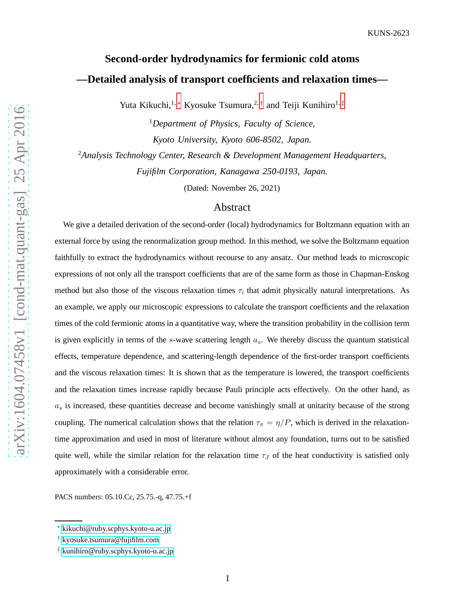# **Second-order hydrodynamics for fermionic cold atoms —Detailed analysis of transport coefficients and relaxation times—**

Yuta Kikuchi,<sup>1,[∗](#page-0-0)</sup> Kyosuke Tsumura,<sup>2,[†](#page-0-1)</sup> and Teiji Kunihiro<sup>1,[‡](#page-0-2)</sup>

<sup>1</sup>*Department of Physics, Faculty of Science, Kyoto University, Kyoto 606-8502, Japan.*

<sup>2</sup>*Analysis Technology Center, Research & Development Management Headquarters, Fujifilm Corporation, Kanagawa 250-0193, Japan.*

(Dated: November 26, 2021)

# Abstract

We give a detailed derivation of the second-order (local) hydrodynamics for Boltzmann equation with an external force by using the renormalization group method. In this method, we solve the Boltzmann equation faithfully to extract the hydrodynamics without recourse to any ansatz. Our method leads to microscopic expressions of not only all the transport coefficients that are of the same form as those in Chapman-Enskog method but also those of the viscous relaxation times  $\tau_i$  that admit physically natural interpretations. As an example, we apply our microscopic expressions to calculate the transport coefficients and the relaxation times of the cold fermionic atoms in a quantitative way, where the transition probability in the collision term is given explicitly in terms of the s-wave scattering length  $a<sub>s</sub>$ . We thereby discuss the quantum statistical effects, temperature dependence, and scattering-length dependence of the first-order transport coefficients and the viscous relaxation times: It is shown that as the temperature is lowered, the transport coefficients and the relaxation times increase rapidly because Pauli principle acts effectively. On the other hand, as  $a_s$  is increased, these quantities decrease and become vanishingly small at unitarity because of the strong coupling. The numerical calculation shows that the relation  $\tau_{\pi} = \eta/P$ , which is derived in the relaxationtime approximation and used in most of literature without almost any foundation, turns out to be satisfied quite well, while the similar relation for the relaxation time  $\tau_J$  of the heat conductivity is satisfied only approximately with a considerable error.

PACS numbers: 05.10.Cc, 25.75.-q, 47.75.+f

<span id="page-0-1"></span><span id="page-0-0"></span><sup>∗</sup> [kikuchi@ruby.scphys.kyoto-u.ac.jp](mailto:kikuchi@ruby.scphys.kyoto-u.ac.jp)

<span id="page-0-2"></span><sup>†</sup> [kyosuke.tsumura@fujifilm.com](mailto:kyosuke.tsumura@fujifilm.com)

<sup>‡</sup> [kunihiro@ruby.scphys.kyoto-u.ac.jp](mailto:kunihiro@ruby.scphys.kyoto-u.ac.jp)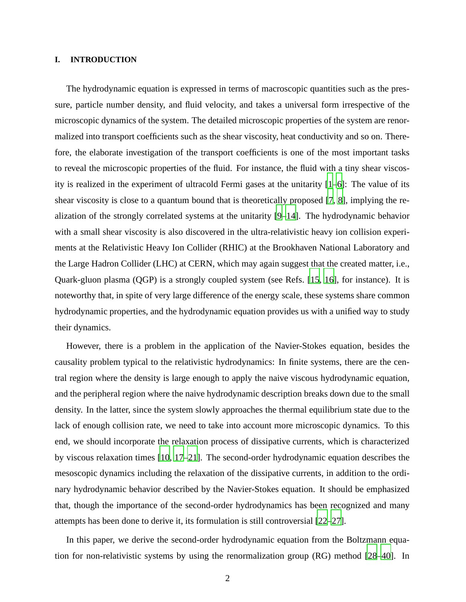## **I. INTRODUCTION**

The hydrodynamic equation is expressed in terms of macroscopic quantities such as the pressure, particle number density, and fluid velocity, and takes a universal form irrespective of the microscopic dynamics of the system. The detailed microscopic properties of the system are renormalized into transport coefficients such as the shear viscosity, heat conductivity and so on. Therefore, the elaborate investigation of the transport coefficients is one of the most important tasks to reveal the microscopic properties of the fluid. For instance, the fluid with a tiny shear viscosity is realized in the experiment of ultracold Fermi gases at the unitarity [\[1](#page-30-0)[–6](#page-30-1)]: The value of its shear viscosity is close to a quantum bound that is theoretically proposed [\[7,](#page-30-2) [8](#page-30-3)], implying the realization of the strongly correlated systems at the unitarity [\[9](#page-30-4)[–14](#page-30-5)]. The hydrodynamic behavior with a small shear viscosity is also discovered in the ultra-relativistic heavy ion collision experiments at the Relativistic Heavy Ion Collider (RHIC) at the Brookhaven National Laboratory and the Large Hadron Collider (LHC) at CERN, which may again suggest that the created matter, i.e., Quark-gluon plasma (QGP) is a strongly coupled system (see Refs. [\[15,](#page-30-6) [16\]](#page-30-7), for instance). It is noteworthy that, in spite of very large difference of the energy scale, these systems share common hydrodynamic properties, and the hydrodynamic equation provides us with a unified way to study their dynamics.

However, there is a problem in the application of the Navier-Stokes equation, besides the causality problem typical to the relativistic hydrodynamics: In finite systems, there are the central region where the density is large enough to apply the naive viscous hydrodynamic equation, and the peripheral region where the naive hydrodynamic description breaks down due to the small density. In the latter, since the system slowly approaches the thermal equilibrium state due to the lack of enough collision rate, we need to take into account more microscopic dynamics. To this end, we should incorporate the relaxation process of dissipative currents, which is characterized by viscous relaxation times [\[10,](#page-30-8) [17](#page-31-0)[–21](#page-31-1)]. The second-order hydrodynamic equation describes the mesoscopic dynamics including the relaxation of the dissipative currents, in addition to the ordinary hydrodynamic behavior described by the Navier-Stokes equation. It should be emphasized that, though the importance of the second-order hydrodynamics has been recognized and many attempts has been done to derive it, its formulation is still controversial [\[22](#page-31-2)[–27](#page-31-3)].

In this paper, we derive the second-order hydrodynamic equation from the Boltzmann equation for non-relativistic systems by using the renormalization group (RG) method [\[28](#page-31-4)[–40](#page-31-5)]. In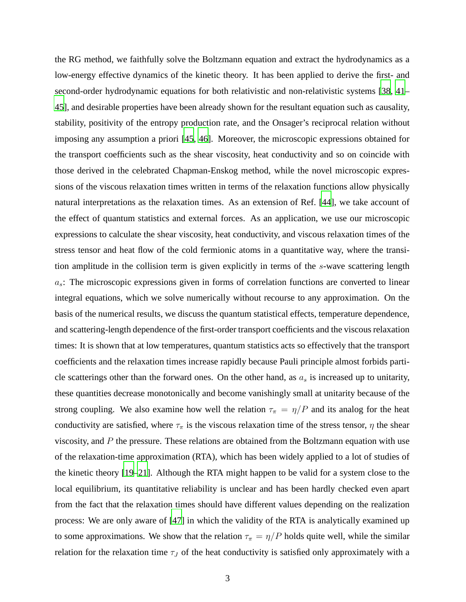the RG method, we faithfully solve the Boltzmann equation and extract the hydrodynamics as a low-energy effective dynamics of the kinetic theory. It has been applied to derive the first- and second-order hydrodynamic equations for both relativistic and non-relativistic systems [\[38](#page-31-6), [41](#page-31-7)– [45](#page-31-8)], and desirable properties have been already shown for the resultant equation such as causality, stability, positivity of the entropy production rate, and the Onsager's reciprocal relation without imposing any assumption a priori [\[45,](#page-31-8) [46](#page-31-9)]. Moreover, the microscopic expressions obtained for the transport coefficients such as the shear viscosity, heat conductivity and so on coincide with those derived in the celebrated Chapman-Enskog method, while the novel microscopic expressions of the viscous relaxation times written in terms of the relaxation functions allow physically natural interpretations as the relaxation times. As an extension of Ref. [\[44](#page-31-10)], we take account of the effect of quantum statistics and external forces. As an application, we use our microscopic expressions to calculate the shear viscosity, heat conductivity, and viscous relaxation times of the stress tensor and heat flow of the cold fermionic atoms in a quantitative way, where the transition amplitude in the collision term is given explicitly in terms of the s-wave scattering length  $a_s$ : The microscopic expressions given in forms of correlation functions are converted to linear integral equations, which we solve numerically without recourse to any approximation. On the basis of the numerical results, we discuss the quantum statistical effects, temperature dependence, and scattering-length dependence of the first-order transport coefficients and the viscous relaxation times: It is shown that at low temperatures, quantum statistics acts so effectively that the transport coefficients and the relaxation times increase rapidly because Pauli principle almost forbids particle scatterings other than the forward ones. On the other hand, as  $a_s$  is increased up to unitarity, these quantities decrease monotonically and become vanishingly small at unitarity because of the strong coupling. We also examine how well the relation  $\tau_{\pi} = \eta/P$  and its analog for the heat conductivity are satisfied, where  $\tau_{\pi}$  is the viscous relaxation time of the stress tensor,  $\eta$  the shear viscosity, and  $P$  the pressure. These relations are obtained from the Boltzmann equation with use of the relaxation-time approximation (RTA), which has been widely applied to a lot of studies of the kinetic theory [\[19](#page-31-11)[–21\]](#page-31-1). Although the RTA might happen to be valid for a system close to the local equilibrium, its quantitative reliability is unclear and has been hardly checked even apart from the fact that the relaxation times should have different values depending on the realization process: We are only aware of [\[47\]](#page-32-0) in which the validity of the RTA is analytically examined up to some approximations. We show that the relation  $\tau_{\pi} = \eta/P$  holds quite well, while the similar relation for the relaxation time  $\tau_J$  of the heat conductivity is satisfied only approximately with a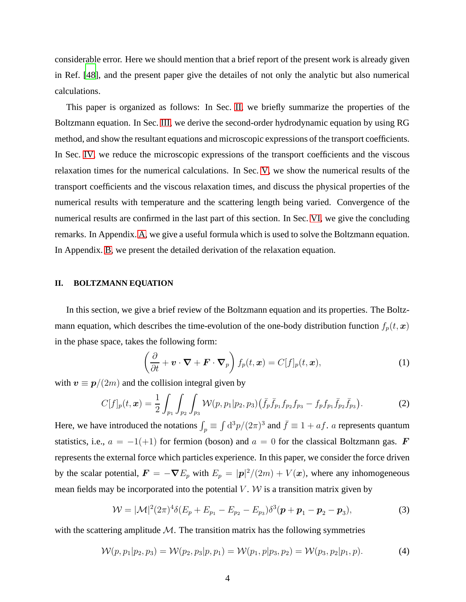considerable error. Here we should mention that a brief report of the present work is already given in Ref. [\[48\]](#page-32-1), and the present paper give the detailes of not only the analytic but also numerical calculations.

This paper is organized as follows: In Sec. [II,](#page-3-0) we briefly summarize the properties of the Boltzmann equation. In Sec. [III,](#page-4-0) we derive the second-order hydrodynamic equation by using RG method, and show the resultant equations and microscopic expressions of the transport coefficients. In Sec. [IV,](#page-12-0) we reduce the microscopic expressions of the transport coefficients and the viscous relaxation times for the numerical calculations. In Sec. [V,](#page-17-0) we show the numerical results of the transport coefficients and the viscous relaxation times, and discuss the physical properties of the numerical results with temperature and the scattering length being varied. Convergence of the numerical results are confirmed in the last part of this section. In Sec. [VI,](#page-24-0) we give the concluding remarks. In Appendix. [A,](#page-25-0) we give a useful formula which is used to solve the Boltzmann equation. In Appendix. [B,](#page-25-1) we present the detailed derivation of the relaxation equation.

#### <span id="page-3-0"></span>**II. BOLTZMANN EQUATION**

In this section, we give a brief review of the Boltzmann equation and its properties. The Boltzmann equation, which describes the time-evolution of the one-body distribution function  $f_p(t, x)$ in the phase space, takes the following form:

<span id="page-3-2"></span><span id="page-3-1"></span>
$$
\left(\frac{\partial}{\partial t} + \mathbf{v} \cdot \nabla + \mathbf{F} \cdot \nabla_p \right) f_p(t, \mathbf{x}) = C[f]_p(t, \mathbf{x}), \tag{1}
$$

with  $v \equiv p/(2m)$  and the collision integral given by

$$
C[f]_p(t,\boldsymbol{x}) = \frac{1}{2} \int_{p_1} \int_{p_2} \int_{p_3} \mathcal{W}(p,p_1|p_2,p_3) (\bar{f}_p \bar{f}_{p_1} f_{p_2} f_{p_3} - f_p f_{p_1} \bar{f}_{p_2} \bar{f}_{p_3}). \tag{2}
$$

Here, we have introduced the notations  $\int_p \equiv \int d^3p/(2\pi)^3$  and  $\bar{f} \equiv 1 + af$ . *a* represents quantum statistics, i.e.,  $a = -1(+1)$  for fermion (boson) and  $a = 0$  for the classical Boltzmann gas. F represents the external force which particles experience. In this paper, we consider the force driven by the scalar potential,  $\mathbf{F} = -\nabla E_p$  with  $E_p = |\mathbf{p}|^2/(2m) + V(\mathbf{x})$ , where any inhomogeneous mean fields may be incorporated into the potential  $V$ .  $W$  is a transition matrix given by

<span id="page-3-3"></span>
$$
\mathcal{W} = |\mathcal{M}|^2 (2\pi)^4 \delta(E_p + E_{p_1} - E_{p_2} - E_{p_3}) \delta^3(\mathbf{p} + \mathbf{p}_1 - \mathbf{p}_2 - \mathbf{p}_3),
$$
\n(3)

with the scattering amplitude  $M$ . The transition matrix has the following symmetries

$$
\mathcal{W}(p, p_1|p_2, p_3) = \mathcal{W}(p_2, p_3|p, p_1) = \mathcal{W}(p_1, p|p_3, p_2) = \mathcal{W}(p_3, p_2|p_1, p). \tag{4}
$$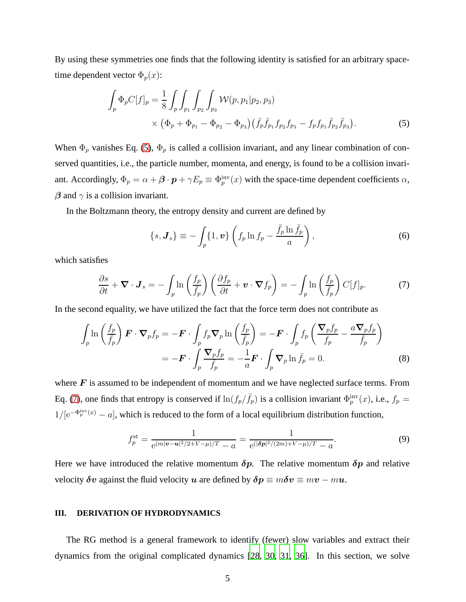By using these symmetries one finds that the following identity is satisfied for an arbitrary spacetime dependent vector  $\Phi_p(x)$ :

$$
\int_{p} \Phi_{p} C[f]_{p} = \frac{1}{8} \int_{p} \int_{p_{1}} \int_{p_{2}} \int_{p_{3}} \mathcal{W}(p, p_{1}|p_{2}, p_{3}) \times (\Phi_{p} + \Phi_{p_{1}} - \Phi_{p_{2}} - \Phi_{p_{3}}) (\bar{f}_{p} \bar{f}_{p_{1}} f_{p_{2}} f_{p_{3}} - f_{p} f_{p_{1}} \bar{f}_{p_{2}} \bar{f}_{p_{3}}).
$$
\n(5)

When  $\Phi_p$  vanishes Eq. [\(5\)](#page-4-1),  $\Phi_p$  is called a collision invariant, and any linear combination of conserved quantities, i.e., the particle number, momenta, and energy, is found to be a collision invariant. Accordingly,  $\Phi_p = \alpha + \beta \cdot p + \gamma E_p \equiv \Phi_p^{\text{inv}}(x)$  with the space-time dependent coefficients  $\alpha$ ,  $\beta$  and  $\gamma$  is a collision invariant.

In the Boltzmann theory, the entropy density and current are defined by

<span id="page-4-2"></span><span id="page-4-1"></span>
$$
\{s, \mathbf{J}_s\} \equiv -\int_p \{1, \mathbf{v}\} \left( f_p \ln f_p - \frac{\bar{f}_p \ln \bar{f}_p}{a} \right),\tag{6}
$$

which satisfies

$$
\frac{\partial s}{\partial t} + \mathbf{\nabla} \cdot \mathbf{J}_s = -\int_p \ln\left(\frac{f_p}{\bar{f}_p}\right) \left(\frac{\partial f_p}{\partial t} + \mathbf{v} \cdot \mathbf{\nabla} f_p\right) = -\int_p \ln\left(\frac{f_p}{\bar{f}_p}\right) C[f]_p. \tag{7}
$$

In the second equality, we have utilized the fact that the force term does not contribute as

$$
\int_{p} \ln \left( \frac{f_p}{\overline{f_p}} \right) \boldsymbol{F} \cdot \boldsymbol{\nabla}_p f_p = -\boldsymbol{F} \cdot \int_{p} f_p \boldsymbol{\nabla}_p \ln \left( \frac{f_p}{\overline{f_p}} \right) = -\boldsymbol{F} \cdot \int_{p} f_p \left( \frac{\boldsymbol{\nabla}_p f_p}{f_p} - \frac{a \boldsymbol{\nabla}_p f_p}{\overline{f_p}} \right)
$$

$$
= -\boldsymbol{F} \cdot \int_{p} \frac{\boldsymbol{\nabla}_p f_p}{\overline{f_p}} = -\frac{1}{a} \boldsymbol{F} \cdot \int_{p} \boldsymbol{\nabla}_p \ln \overline{f_p} = 0.
$$
(8)

where  $\bf{F}$  is assumed to be independent of momentum and we have neglected surface terms. From Eq. [\(7\)](#page-4-2), one finds that entropy is conserved if  $\ln(f_p/\bar{f}_p)$  is a collision invariant  $\Phi_p^{\text{inv}}(x)$ , i.e.,  $f_p =$  $1/[\mathrm{e}^{-\Phi_p^{\text{inv}}(x)}-a]$ , which is reduced to the form of a local equilibrium distribution function,

$$
f_p^{\text{st}} = \frac{1}{e^{(m|\boldsymbol{v} - \boldsymbol{u}|^2/2 + V - \mu)/T} - a} = \frac{1}{e^{((\boldsymbol{\delta p}|^2/(2m) + V - \mu)/T} - a}.
$$
(9)

Here we have introduced the relative momentum  $\delta p$ . The relative momentum  $\delta p$  and relative velocity  $\delta v$  against the fluid velocity u are defined by  $\delta p \equiv m\delta v \equiv mv - mu$ .

#### <span id="page-4-0"></span>**III. DERIVATION OF HYDRODYNAMICS**

The RG method is a general framework to identify (fewer) slow variables and extract their dynamics from the original complicated dynamics [\[28](#page-31-4), [30,](#page-31-12) [31,](#page-31-13) [36](#page-31-14)]. In this section, we solve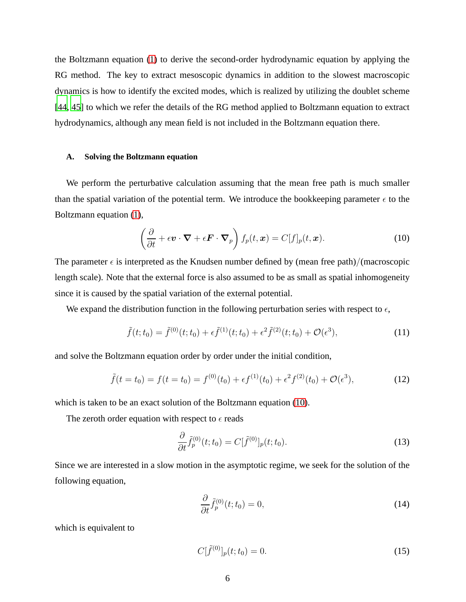the Boltzmann equation [\(1\)](#page-3-1) to derive the second-order hydrodynamic equation by applying the RG method. The key to extract mesoscopic dynamics in addition to the slowest macroscopic dynamics is how to identify the excited modes, which is realized by utilizing the doublet scheme [\[44,](#page-31-10) [45](#page-31-8)] to which we refer the details of the RG method applied to Boltzmann equation to extract hydrodynamics, although any mean field is not included in the Boltzmann equation there.

#### **A. Solving the Boltzmann equation**

We perform the perturbative calculation assuming that the mean free path is much smaller than the spatial variation of the potential term. We introduce the bookkeeping parameter  $\epsilon$  to the Boltzmann equation [\(1\)](#page-3-1),

<span id="page-5-0"></span>
$$
\left(\frac{\partial}{\partial t} + \epsilon \boldsymbol{v} \cdot \boldsymbol{\nabla} + \epsilon \boldsymbol{F} \cdot \boldsymbol{\nabla}_p\right) f_p(t, \boldsymbol{x}) = C[f]_p(t, \boldsymbol{x}). \tag{10}
$$

The parameter  $\epsilon$  is interpreted as the Knudsen number defined by (mean free path)/(macroscopic length scale). Note that the external force is also assumed to be as small as spatial inhomogeneity since it is caused by the spatial variation of the external potential.

We expand the distribution function in the following perturbation series with respect to  $\epsilon$ ,

$$
\tilde{f}(t; t_0) = \tilde{f}^{(0)}(t; t_0) + \epsilon \tilde{f}^{(1)}(t; t_0) + \epsilon^2 \tilde{f}^{(2)}(t; t_0) + \mathcal{O}(\epsilon^3), \tag{11}
$$

and solve the Boltzmann equation order by order under the initial condition,

$$
\tilde{f}(t = t_0) = f(t = t_0) = f^{(0)}(t_0) + \epsilon f^{(1)}(t_0) + \epsilon^2 f^{(2)}(t_0) + \mathcal{O}(\epsilon^3),\tag{12}
$$

which is taken to be an exact solution of the Boltzmann equation [\(10\)](#page-5-0).

The zeroth order equation with respect to  $\epsilon$  reads

$$
\frac{\partial}{\partial t}\tilde{f}_p^{(0)}(t;t_0) = C[\tilde{f}^{(0)}]_p(t;t_0). \tag{13}
$$

Since we are interested in a slow motion in the asymptotic regime, we seek for the solution of the following equation,

$$
\frac{\partial}{\partial t}\tilde{f}_p^{(0)}(t;t_0) = 0,\t(14)
$$

which is equivalent to

$$
C[\tilde{f}^{(0)}]_p(t;t_0) = 0.
$$
\n(15)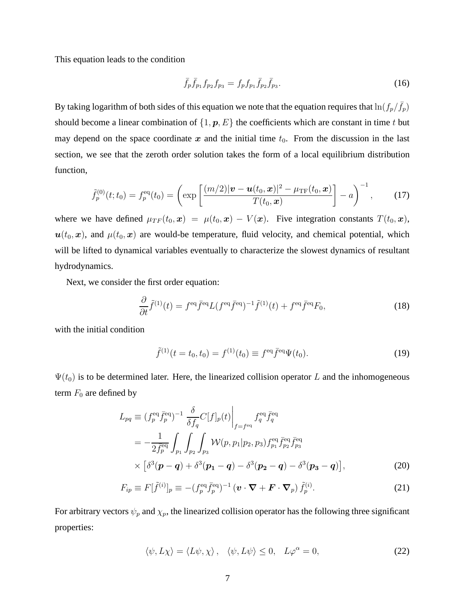This equation leads to the condition

$$
\bar{f}_p \bar{f}_{p_1} f_{p_2} f_{p_3} = f_p f_{p_1} \bar{f}_{p_2} \bar{f}_{p_3}.
$$
\n(16)

By taking logarithm of both sides of this equation we note that the equation requires that  $\ln(f_p/\bar{f}_p)$ should become a linear combination of  $\{1, p, E\}$  the coefficients which are constant in time t but may depend on the space coordinate x and the initial time  $t_0$ . From the discussion in the last section, we see that the zeroth order solution takes the form of a local equilibrium distribution function,

$$
\tilde{f}_p^{(0)}(t;t_0) = f_p^{\text{eq}}(t_0) = \left( \exp \left[ \frac{(m/2)|\boldsymbol{v} - \boldsymbol{u}(t_0,\boldsymbol{x})|^2 - \mu_{\text{TF}}(t_0,\boldsymbol{x})}{T(t_0,\boldsymbol{x})} \right] - a \right)^{-1}, \quad (17)
$$

where we have defined  $\mu_{TF}(t_0, x) = \mu(t_0, x) - V(x)$ . Five integration constants  $T(t_0, x)$ ,  $u(t_0, x)$ , and  $\mu(t_0, x)$  are would-be temperature, fluid velocity, and chemical potential, which will be lifted to dynamical variables eventually to characterize the slowest dynamics of resultant hydrodynamics.

Next, we consider the first order equation:

$$
\frac{\partial}{\partial t}\tilde{f}^{(1)}(t) = f^{\text{eq}}\bar{f}^{\text{eq}}L(f^{\text{eq}}\bar{f}^{\text{eq}})^{-1}\tilde{f}^{(1)}(t) + f^{\text{eq}}\bar{f}^{\text{eq}}F_0,\tag{18}
$$

with the initial condition

<span id="page-6-0"></span>
$$
\tilde{f}^{(1)}(t = t_0, t_0) = f^{(1)}(t_0) \equiv f^{\text{eq}} \bar{f}^{\text{eq}} \Psi(t_0).
$$
\n(19)

 $\Psi(t_0)$  is to be determined later. Here, the linearized collision operator L and the inhomogeneous term  $F_0$  are defined by

$$
L_{pq} \equiv (f_p^{\text{eq}} \bar{f}_p^{\text{eq}})^{-1} \frac{\delta}{\delta f_q} C[f]_p(t) \Big|_{f = f^{\text{eq}}} f_q^{\text{eq}} \bar{f}_q^{\text{eq}}
$$
  
= 
$$
-\frac{1}{2 \bar{f}_p^{\text{eq}}} \int_{p_1} \int_{p_2} \int_{p_3} \mathcal{W}(p, p_1 | p_2, p_3) f_{p_1}^{\text{eq}} \bar{f}_{p_2}^{\text{eq}} \bar{f}_{p_3}^{\text{eq}}
$$

$$
\times \left[ \delta^3(\mathbf{p} - \mathbf{q}) + \delta^3(\mathbf{p_1} - \mathbf{q}) - \delta^3(\mathbf{p_2} - \mathbf{q}) - \delta^3(\mathbf{p_3} - \mathbf{q}) \right], \tag{20}
$$

$$
F_{ip} \equiv F[\tilde{f}^{(i)}]_p \equiv -(f_p^{\text{eq}} \bar{f}_p^{\text{eq}})^{-1} \left( \boldsymbol{v} \cdot \boldsymbol{\nabla} + \boldsymbol{F} \cdot \boldsymbol{\nabla}_p \right) \tilde{f}_p^{(i)}.
$$
 (21)

For arbitrary vectors  $\psi_p$  and  $\chi_p$ , the linearized collision operator has the following three significant properties:

<span id="page-6-1"></span>
$$
\langle \psi, L\chi \rangle = \langle L\psi, \chi \rangle, \quad \langle \psi, L\psi \rangle \le 0, \quad L\varphi^{\alpha} = 0,
$$
 (22)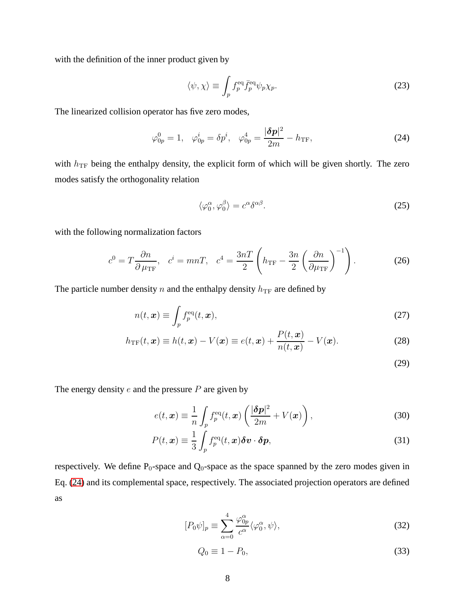with the definition of the inner product given by

$$
\langle \psi, \chi \rangle \equiv \int_p f_p^{\text{eq}} \bar{f}_p^{\text{eq}} \psi_p \chi_p. \tag{23}
$$

The linearized collision operator has five zero modes,

$$
\varphi_{0p}^0 = 1, \quad \varphi_{0p}^i = \delta p^i, \quad \varphi_{0p}^4 = \frac{|\delta p|^2}{2m} - h_{\text{TF}},
$$
\n(24)

with  $h_{\text{TF}}$  being the enthalpy density, the explicit form of which will be given shortly. The zero modes satisfy the orthogonality relation

<span id="page-7-0"></span>
$$
\langle \varphi_0^{\alpha}, \varphi_0^{\beta} \rangle = c^{\alpha} \delta^{\alpha \beta}.
$$
 (25)

with the following normalization factors

$$
c^{0} = T \frac{\partial n}{\partial \mu_{\rm TF}}, \quad c^{i} = mnT, \quad c^{4} = \frac{3nT}{2} \left( h_{\rm TF} - \frac{3n}{2} \left( \frac{\partial n}{\partial \mu_{\rm TF}} \right)^{-1} \right). \tag{26}
$$

The particle number density  $n$  and the enthalpy density  $h_{\text{TF}}$  are defined by

$$
n(t, \mathbf{x}) \equiv \int_p f_p^{\text{eq}}(t, \mathbf{x}), \tag{27}
$$

$$
h_{\rm TF}(t, \boldsymbol{x}) \equiv h(t, \boldsymbol{x}) - V(\boldsymbol{x}) \equiv e(t, \boldsymbol{x}) + \frac{P(t, \boldsymbol{x})}{n(t, \boldsymbol{x})} - V(\boldsymbol{x}). \tag{28}
$$

<span id="page-7-2"></span><span id="page-7-1"></span>(29)

The energy density  $e$  and the pressure  $P$  are given by

$$
e(t, \boldsymbol{x}) \equiv \frac{1}{n} \int_{p} f_{p}^{\text{eq}}(t, \boldsymbol{x}) \left( \frac{|\boldsymbol{\delta p}|^{2}}{2m} + V(\boldsymbol{x}) \right), \tag{30}
$$

$$
P(t, \boldsymbol{x}) \equiv \frac{1}{3} \int_{p} f_{p}^{\text{eq}}(t, \boldsymbol{x}) \delta \boldsymbol{v} \cdot \delta \boldsymbol{p}, \qquad (31)
$$

respectively. We define  $P_0$ -space and  $Q_0$ -space as the space spanned by the zero modes given in Eq. [\(24\)](#page-7-0) and its complemental space, respectively. The associated projection operators are defined as

$$
[P_0\psi]_p \equiv \sum_{\alpha=0}^4 \frac{\varphi_{0p}^{\alpha}}{c^{\alpha}} \langle \varphi_0^{\alpha}, \psi \rangle, \tag{32}
$$

$$
Q_0 \equiv 1 - P_0,\tag{33}
$$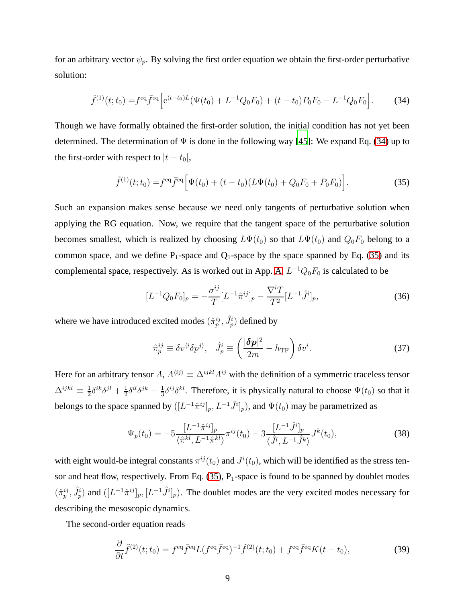for an arbitrary vector  $\psi_p$ . By solving the first order equation we obtain the first-order perturbative solution:

$$
\tilde{f}^{(1)}(t;t_0) = f^{\text{eq}} \bar{f}^{\text{eq}} \left[ e^{(t-t_0)L} (\Psi(t_0) + L^{-1} Q_0 F_0) + (t-t_0) P_0 F_0 - L^{-1} Q_0 F_0 \right].
$$
 (34)

Though we have formally obtained the first-order solution, the initial condition has not yet been determined. The determination of  $\Psi$  is done in the following way [\[45](#page-31-8)]: We expand Eq. [\(34\)](#page-8-0) up to the first-order with respect to  $|t - t_0|$ ,

<span id="page-8-0"></span>
$$
\tilde{f}^{(1)}(t;t_0) = f^{\text{eq}} \bar{f}^{\text{eq}} \Big[ \Psi(t_0) + (t - t_0) (L\Psi(t_0) + Q_0 F_0 + P_0 F_0) \Big]. \tag{35}
$$

Such an expansion makes sense because we need only tangents of perturbative solution when applying the RG equation. Now, we require that the tangent space of the perturbative solution becomes smallest, which is realized by choosing  $L\Psi(t_0)$  so that  $L\Psi(t_0)$  and  $Q_0F_0$  belong to a common space, and we define  $P_1$ -space and  $Q_1$ -space by the space spanned by Eq. [\(35\)](#page-8-1) and its complemental space, respectively. As is worked out in App. [A,](#page-25-0)  $L^{-1}Q_0F_0$  is calculated to be

<span id="page-8-1"></span>
$$
[L^{-1}Q_0F_0]_p = -\frac{\sigma^{ij}}{T}[L^{-1}\hat{\pi}^{ij}]_p - \frac{\nabla^i T}{T^2}[L^{-1}\hat{J}^i]_p, \tag{36}
$$

where we have introduced excited modes  $(\hat{\pi}_p^{ij}, \hat{J}_p^i)$  defined by

<span id="page-8-2"></span>
$$
\hat{\pi}_p^{ij} \equiv \delta v^{i\delta} \delta p^{j\delta}, \quad \hat{J}_p^i \equiv \left(\frac{|\delta p|^2}{2m} - h_{\rm TF}\right) \delta v^i. \tag{37}
$$

Here for an arbitrary tensor A,  $A^{\langle ij \rangle} \equiv \Delta^{ijkl} A^{ij}$  with the definition of a symmetric traceless tensor  $\Delta^{ijkl} \equiv \frac{1}{2}$  $\frac{1}{2}\delta^{ik}\delta^{jl}+\frac{1}{2}$  $\frac{1}{2}\delta^{il}\delta^{jk} - \frac{1}{3}$  $\frac{1}{3}\delta^{ij}\delta^{kl}$ . Therefore, it is physically natural to choose  $\Psi(t_0)$  so that it belongs to the space spanned by  $([L^{-1}\hat{\pi}^{ij}]_p, L^{-1}\hat{J}^i]_p$ ), and  $\Psi(t_0)$  may be parametrized as

$$
\Psi_p(t_0) = -5 \frac{[L^{-1}\hat{\pi}^{ij}]_p}{\langle \hat{\pi}^{kl}, L^{-1}\hat{\pi}^{kl} \rangle} \pi^{ij}(t_0) - 3 \frac{[L^{-1}\hat{J}^i]_p}{\langle \hat{J}^l, L^{-1}\hat{J}^k \rangle} J^k(t_0),
$$
\n(38)

with eight would-be integral constants  $\pi^{ij}(t_0)$  and  $J^i(t_0)$ , which will be identified as the stress tensor and heat flow, respectively. From Eq.  $(35)$ , P<sub>1</sub>-space is found to be spanned by doublet modes  $(\hat{\pi}_p^{ij}, \hat{J}_p^i)$  and  $([L^{-1}\hat{\pi}^{ij}]_p, [L^{-1}\hat{J}^i]_p)$ . The doublet modes are the very excited modes necessary for describing the mesoscopic dynamics.

The second-order equation reads

$$
\frac{\partial}{\partial t}\tilde{f}^{(2)}(t;t_0) = f^{\text{eq}}\bar{f}^{\text{eq}}L(f^{\text{eq}}\bar{f}^{\text{eq}})^{-1}\tilde{f}^{(2)}(t;t_0) + f^{\text{eq}}\bar{f}^{\text{eq}}K(t-t_0),\tag{39}
$$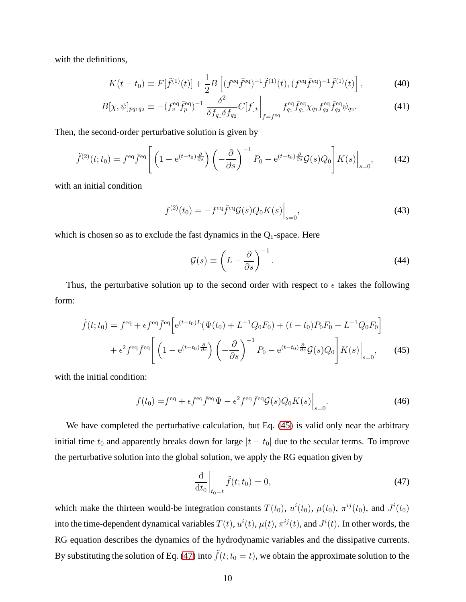with the definitions,

$$
K(t - t_0) \equiv F[\tilde{f}^{(1)}(t)] + \frac{1}{2}B\left[ (f^{\text{eq}}\bar{f}^{\text{eq}})^{-1}\tilde{f}^{(1)}(t), (f^{\text{eq}}\bar{f}^{\text{eq}})^{-1}\tilde{f}^{(1)}(t) \right],\tag{40}
$$

$$
B[\chi,\psi]_{pq_1q_2} \equiv -(f_v^{\text{eq}} \bar{f}_p^{\text{eq}})^{-1} \frac{\delta^2}{\delta f_{q_1} \delta f_{q_2}} C[f]_v \bigg|_{f=f^{\text{eq}}} f_{q_1}^{\text{eq}} \bar{f}_{q_1}^{\text{eq}} \chi_{q_1} f_{q_2}^{\text{eq}} \bar{f}_{q_2}^{\text{eq}} \psi_{q_2}.
$$
 (41)

Then, the second-order perturbative solution is given by

$$
\tilde{f}^{(2)}(t;t_0) = f^{\text{eq}} \bar{f}^{\text{eq}} \left[ \left( 1 - e^{(t-t_0)\frac{\partial}{\partial s}} \right) \left( -\frac{\partial}{\partial s} \right)^{-1} P_0 - e^{(t-t_0)\frac{\partial}{\partial s}} \mathcal{G}(s) Q_0 \right] K(s) \Big|_{s=0},\tag{42}
$$

with an initial condition

$$
f^{(2)}(t_0) = -f^{\text{eq}} \bar{f}^{\text{eq}} \mathcal{G}(s) Q_0 K(s) \Big|_{s=0}, \tag{43}
$$

which is chosen so as to exclude the fast dynamics in the  $Q_1$ -space. Here

<span id="page-9-0"></span>
$$
\mathcal{G}(s) \equiv \left( L - \frac{\partial}{\partial s} \right)^{-1} . \tag{44}
$$

Thus, the perturbative solution up to the second order with respect to  $\epsilon$  takes the following form:

$$
\tilde{f}(t; t_0) = f^{\text{eq}} + \epsilon f^{\text{eq}} \bar{f}^{\text{eq}} \left[ e^{(t-t_0)L} (\Psi(t_0) + L^{-1} Q_0 F_0) + (t - t_0) P_0 F_0 - L^{-1} Q_0 F_0 \right] \n+ \epsilon^2 f^{\text{eq}} \bar{f}^{\text{eq}} \left[ \left( 1 - e^{(t-t_0)} \frac{\partial}{\partial s} \right) \left( -\frac{\partial}{\partial s} \right)^{-1} P_0 - e^{(t-t_0)} \frac{\partial}{\partial s} \mathcal{G}(s) Q_0 \right] K(s) \Big|_{s=0}, \quad (45)
$$

with the initial condition:

$$
f(t_0) = feq + \epsilon feq \bar{f}eq \Psi - \epsilon^2 feq \bar{f}eq \mathcal{G}(s) Q_0 K(s) \Big|_{s=0}.
$$
 (46)

We have completed the perturbative calculation, but Eq. [\(45\)](#page-9-0) is valid only near the arbitrary initial time  $t_0$  and apparently breaks down for large  $|t - t_0|$  due to the secular terms. To improve the perturbative solution into the global solution, we apply the RG equation given by

<span id="page-9-1"></span>
$$
\left. \frac{\mathrm{d}}{\mathrm{d}t_0} \right|_{t_0 = t} \tilde{f}(t; t_0) = 0,\tag{47}
$$

which make the thirteen would-be integration constants  $T(t_0)$ ,  $u^i(t_0)$ ,  $\mu(t_0)$ ,  $\pi^{ij}(t_0)$ , and  $J^i(t_0)$ into the time-dependent dynamical variables  $T(t), u^i(t), \mu(t), \pi^{ij}(t)$ , and  $J^i(t)$ . In other words, the RG equation describes the dynamics of the hydrodynamic variables and the dissipative currents. By substituting the solution of Eq. [\(47\)](#page-9-1) into  $\tilde{f}(t;t_0 = t)$ , we obtain the approximate solution to the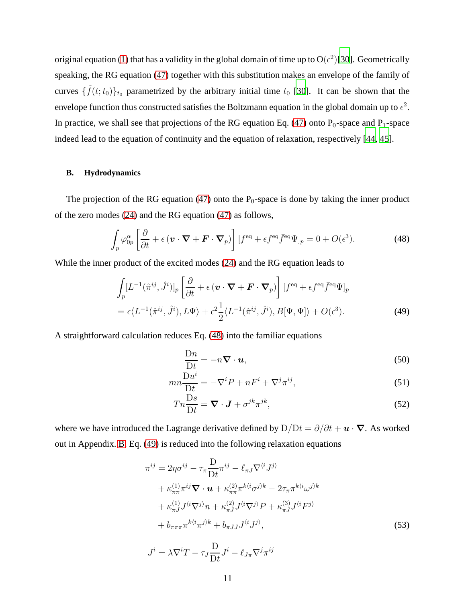original equation [\(1\)](#page-3-1) that has a validity in the global domain of time up to  $O(\epsilon^2)$  [\[30](#page-31-12)]. Geometrically speaking, the RG equation [\(47\)](#page-9-1) together with this substitution makes an envelope of the family of curves  $\{\tilde{f}(t;t_0)\}_{t_0}$  parametrized by the arbitrary initial time  $t_0$  [\[30\]](#page-31-12). It can be shown that the envelope function thus constructed satisfies the Boltzmann equation in the global domain up to  $\epsilon^2$ . In practice, we shall see that projections of the RG equation Eq. [\(47\)](#page-9-1) onto  $P_0$ -space and  $P_1$ -space indeed lead to the equation of continuity and the equation of relaxation, respectively [\[44](#page-31-10), [45](#page-31-8)].

#### **B. Hydrodynamics**

The projection of the RG equation [\(47\)](#page-9-1) onto the  $P_0$ -space is done by taking the inner product of the zero modes [\(24\)](#page-7-0) and the RG equation [\(47\)](#page-9-1) as follows,

$$
\int_{p} \varphi_{0p}^{\alpha} \left[ \frac{\partial}{\partial t} + \epsilon \left( \mathbf{v} \cdot \nabla + \mathbf{F} \cdot \nabla_{p} \right) \right] \left[ f^{\text{eq}} + \epsilon f^{\text{eq}} \bar{f}^{\text{eq}} \Psi \right]_{p} = 0 + O(\epsilon^{3}). \tag{48}
$$

While the inner product of the excited modes [\(24\)](#page-7-0) and the RG equation leads to

$$
\int_{p} [L^{-1}(\hat{\pi}^{ij}, \hat{J}^{i})]_{p} \left[ \frac{\partial}{\partial t} + \epsilon \left( \mathbf{v} \cdot \nabla + \mathbf{F} \cdot \nabla_{p} \right) \right] [f^{\text{eq}} + \epsilon f^{\text{eq}} \bar{f}^{\text{eq}} \Psi]_{p}
$$
\n
$$
= \epsilon \langle L^{-1}(\hat{\pi}^{ij}, \hat{J}^{i}), L \Psi \rangle + \epsilon^{2} \frac{1}{2} \langle L^{-1}(\hat{\pi}^{ij}, \hat{J}^{i}), B[\Psi, \Psi] \rangle + O(\epsilon^{3}). \tag{49}
$$

A straightforward calculation reduces Eq. [\(48\)](#page-10-0) into the familiar equations

<span id="page-10-1"></span><span id="page-10-0"></span>
$$
\frac{\mathrm{D}n}{\mathrm{D}t} = -n\boldsymbol{\nabla} \cdot \boldsymbol{u},\tag{50}
$$

$$
mn\frac{\mathcal{D}u^{i}}{\mathcal{D}t} = -\nabla^{i}P + nF^{i} + \nabla^{j}\pi^{ij},
$$
\n(51)

$$
Tn\frac{\mathrm{D}s}{\mathrm{D}t} = \nabla \cdot \mathbf{J} + \sigma^{jk}\pi^{jk},\tag{52}
$$

where we have introduced the Lagrange derivative defined by  $D/Dt = \partial/\partial t + \mathbf{u} \cdot \nabla$ . As worked out in Appendix. [B,](#page-25-1) Eq. [\(49\)](#page-10-1) is reduced into the following relaxation equations

$$
\pi^{ij} = 2\eta \sigma^{ij} - \tau_{\pi} \frac{D}{Dt} \pi^{ij} - \ell_{\pi J} \nabla^{\langle i} J^{j\rangle} \n+ \kappa_{\pi\pi}^{(1)} \pi^{ij} \nabla \cdot \boldsymbol{u} + \kappa_{\pi\pi}^{(2)} \pi^{k \langle i} \sigma^{j \rangle k} - 2\tau_{\pi} \pi^{k \langle i} \omega^{j \rangle k} \n+ \kappa_{\pi J}^{(1)} J^{\langle i} \nabla^{j} n + \kappa_{\pi J}^{(2)} J^{\langle i} \nabla^{j} P + \kappa_{\pi J}^{(3)} J^{\langle i} F^{j \rangle} \n+ b_{\pi\pi\pi} \pi^{k \langle i} \pi^{j \rangle k} + b_{\pi J J} J^{\langle i} J^{j \rangle},
$$
\n(53)

<span id="page-10-2"></span>
$$
J^{i} = \lambda \nabla^{i} T - \tau_{J} \frac{\mathcal{D}}{\mathcal{D}t} J^{i} - \ell_{J\pi} \nabla^{j} \pi^{ij}
$$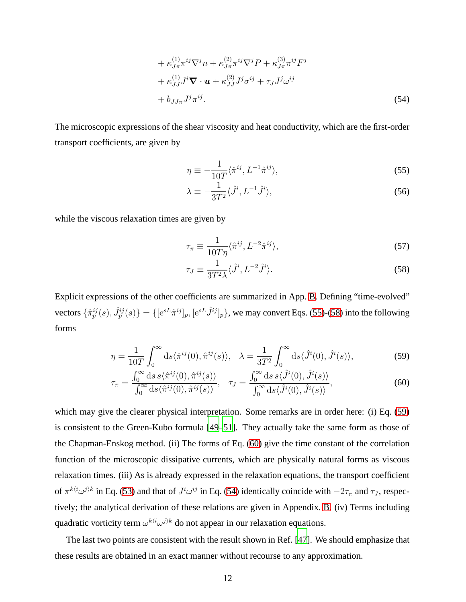$$
+\kappa_{J\pi}^{(1)}\pi^{ij}\nabla^j n + \kappa_{J\pi}^{(2)}\pi^{ij}\nabla^j P + \kappa_{J\pi}^{(3)}\pi^{ij}F^j
$$
  
+ 
$$
\kappa_{JJ}^{(1)}J^i\nabla \cdot \mathbf{u} + \kappa_{JJ}^{(2)}J^j\sigma^{ij} + \tau_{J}J^j\omega^{ij}
$$
  
+ 
$$
b_{JJ\pi}J^j\pi^{ij}.
$$
 (54)

The microscopic expressions of the shear viscosity and heat conductivity, which are the first-order transport coefficients, are given by

<span id="page-11-4"></span><span id="page-11-0"></span>
$$
\eta \equiv -\frac{1}{10T} \langle \hat{\pi}^{ij}, L^{-1} \hat{\pi}^{ij} \rangle,\tag{55}
$$

$$
\lambda \equiv -\frac{1}{3T^2} \langle \hat{J}^i, L^{-1} \hat{J}^i \rangle,\tag{56}
$$

while the viscous relaxation times are given by

<span id="page-11-5"></span>
$$
\tau_{\pi} \equiv \frac{1}{10T\eta} \langle \hat{\pi}^{ij}, L^{-2} \hat{\pi}^{ij} \rangle, \tag{57}
$$

<span id="page-11-3"></span><span id="page-11-2"></span><span id="page-11-1"></span>
$$
\tau_J \equiv \frac{1}{3T^2 \lambda} \langle \hat{J}^i, L^{-2} \hat{J}^i \rangle. \tag{58}
$$

Explicit expressions of the other coefficients are summarized in App. [B.](#page-25-1) Defining "time-evolved" vectors  $\{\hat{\pi}_p^{ij}(s), \hat{J}_p^{ij}(s)\} = \{[\mathrm{e}^{sL}\hat{\pi}^{ij}]_p, [\mathrm{e}^{sL}\hat{J}^{ij}]_p\}$ , we may convert Eqs. [\(55\)](#page-11-0)-[\(58\)](#page-11-1) into the following forms

$$
\eta = \frac{1}{10T} \int_0^\infty ds \langle \hat{\pi}^{ij}(0), \hat{\pi}^{ij}(s) \rangle, \quad \lambda = \frac{1}{3T^2} \int_0^\infty ds \langle \hat{J}^i(0), \hat{J}^i(s) \rangle,\tag{59}
$$

$$
\tau_{\pi} = \frac{\int_0^{\infty} \mathrm{d}s \, s \langle \hat{\pi}^{ij}(0), \hat{\pi}^{ij}(s) \rangle}{\int_0^{\infty} \mathrm{d}s \langle \hat{\pi}^{ij}(0), \hat{\pi}^{ij}(s) \rangle}, \quad \tau_J = \frac{\int_0^{\infty} \mathrm{d}s \, s \langle \hat{J}^i(0), \hat{J}^i(s) \rangle}{\int_0^{\infty} \mathrm{d}s \langle \hat{J}^i(0), \hat{J}^i(s) \rangle},\tag{60}
$$

which may give the clearer physical interpretation. Some remarks are in order here: (i) Eq. [\(59\)](#page-11-2) is consistent to the Green-Kubo formula [\[49](#page-32-2)[–51\]](#page-32-3). They actually take the same form as those of the Chapman-Enskog method. (ii) The forms of Eq. [\(60\)](#page-11-3) give the time constant of the correlation function of the microscopic dissipative currents, which are physically natural forms as viscous relaxation times. (iii) As is already expressed in the relaxation equations, the transport coefficient of  $\pi^{k(i}\omega^{j})^k$  in Eq. [\(53\)](#page-10-2) and that of  $J^i\omega^{ij}$  in Eq. [\(54\)](#page-11-4) identically coincide with  $-2\tau_\pi$  and  $\tau_J$ , respectively; the analytical derivation of these relations are given in Appendix. [B.](#page-25-1) (iv) Terms including quadratic vorticity term  $\omega^{k\langle i}\omega^{j\rangle k}$  do not appear in our relaxation equations.

The last two points are consistent with the result shown in Ref. [\[47\]](#page-32-0). We should emphasize that these results are obtained in an exact manner without recourse to any approximation.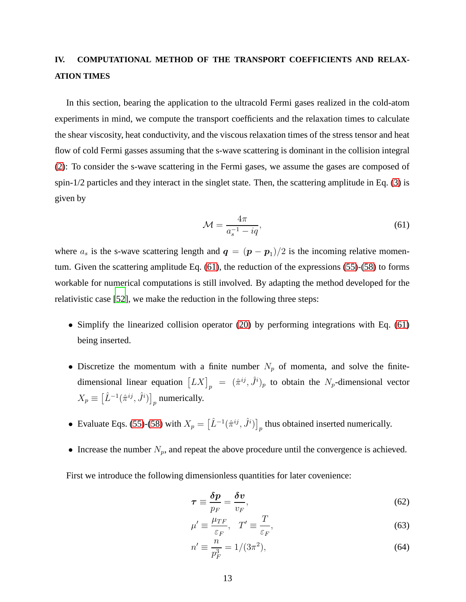# <span id="page-12-0"></span>**IV. COMPUTATIONAL METHOD OF THE TRANSPORT COEFFICIENTS AND RELAX-ATION TIMES**

In this section, bearing the application to the ultracold Fermi gases realized in the cold-atom experiments in mind, we compute the transport coefficients and the relaxation times to calculate the shear viscosity, heat conductivity, and the viscous relaxation times of the stress tensor and heat flow of cold Fermi gasses assuming that the s-wave scattering is dominant in the collision integral [\(2\)](#page-3-2): To consider the s-wave scattering in the Fermi gases, we assume the gases are composed of spin-1/2 particles and they interact in the singlet state. Then, the scattering amplitude in Eq. [\(3\)](#page-3-3) is given by

<span id="page-12-1"></span>
$$
\mathcal{M} = \frac{4\pi}{a_s^{-1} - iq},\tag{61}
$$

where  $a_s$  is the s-wave scattering length and  $q = (p - p_1)/2$  is the incoming relative momentum. Given the scattering amplitude Eq. [\(61\)](#page-12-1), the reduction of the expressions [\(55\)](#page-11-0)-[\(58\)](#page-11-1) to forms workable for numerical computations is still involved. By adapting the method developed for the relativistic case [\[52\]](#page-32-4), we make the reduction in the following three steps:

- Simplify the linearized collision operator [\(20\)](#page-6-0) by performing integrations with Eq. [\(61\)](#page-12-1) being inserted.
- Discretize the momentum with a finite number  $N_p$  of momenta, and solve the finitedimensional linear equation  $\left[ LX\right]_p = (\hat{\pi}^{ij}, \hat{J}^i)_p$  to obtain the  $N_p$ -dimensional vector  $X_p \equiv \left[\hat{L}^{-1}(\hat{\pi}^{ij},\hat{J}^i)\right]_p$  numerically.
- Evaluate Eqs. [\(55\)](#page-11-0)-[\(58\)](#page-11-1) with  $X_p = \left[\hat{L}^{-1}(\hat{\pi}^{ij}, \hat{J}^i)\right]_p$  thus obtained inserted numerically.
- Increase the number  $N_p$ , and repeat the above procedure until the convergence is achieved.

First we introduce the following dimensionless quantities for later covenience:

$$
\tau \equiv \frac{\delta p}{p_F} = \frac{\delta v}{v_F},\tag{62}
$$

$$
\mu' \equiv \frac{\mu_{TF}}{\varepsilon_F}, \quad T' \equiv \frac{T}{\varepsilon_F},\tag{63}
$$

$$
n' \equiv \frac{n}{p_F^3} = 1/(3\pi^2),\tag{64}
$$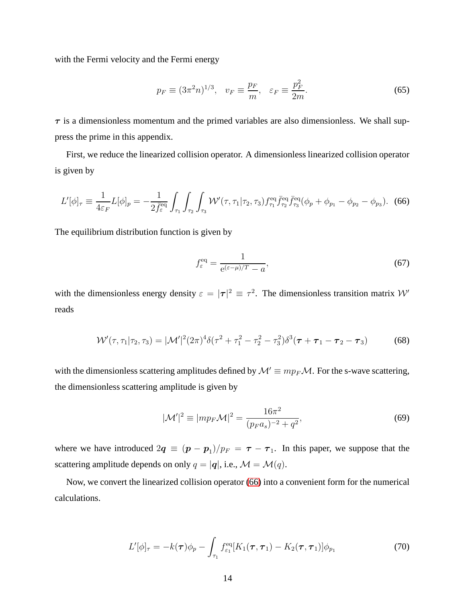with the Fermi velocity and the Fermi energy

$$
p_F \equiv (3\pi^2 n)^{1/3}, \quad v_F \equiv \frac{p_F}{m}, \quad \varepsilon_F \equiv \frac{p_F^2}{2m}.
$$

 $\tau$  is a dimensionless momentum and the primed variables are also dimensionless. We shall suppress the prime in this appendix.

First, we reduce the linearized collision operator. A dimensionless linearized collision operator is given by

$$
L'[\phi]_{\tau} \equiv \frac{1}{4\varepsilon_F} L[\phi]_p = -\frac{1}{2\bar{f}_{\varepsilon}^{\text{eq}}} \int_{\tau_1} \int_{\tau_2} \int_{\tau_3} \mathcal{W}'(\tau, \tau_1 | \tau_2, \tau_3) f_{\tau_1}^{\text{eq}} \bar{f}_{\tau_2}^{\text{eq}} \bar{f}_{\tau_3}^{\text{eq}}(\phi_p + \phi_{p_1} - \phi_{p_2} - \phi_{p_3}). \tag{66}
$$

The equilibrium distribution function is given by

<span id="page-13-0"></span>
$$
f_{\varepsilon}^{\text{eq}} = \frac{1}{e^{(\varepsilon - \mu)/T} - a},\tag{67}
$$

with the dimensionless energy density  $\varepsilon = |\tau|^2 \equiv \tau^2$ . The dimensionless transition matrix W' reads

$$
\mathcal{W}'(\tau, \tau_1 | \tau_2, \tau_3) = |\mathcal{M}'|^2 (2\pi)^4 \delta(\tau^2 + \tau_1^2 - \tau_2^2 - \tau_3^2) \delta^3(\tau + \tau_1 - \tau_2 - \tau_3)
$$
(68)

with the dimensionless scattering amplitudes defined by  $\mathcal{M}' \equiv m p_F \mathcal{M}$ . For the s-wave scattering, the dimensionless scattering amplitude is given by

$$
|\mathcal{M}'|^{2} \equiv |mp_{F}\mathcal{M}|^{2} = \frac{16\pi^{2}}{(p_{F}a_{s})^{-2} + q^{2}},
$$
\n(69)

where we have introduced  $2q \equiv (p - p_1)/p_F = \tau - \tau_1$ . In this paper, we suppose that the scattering amplitude depends on only  $q = |\mathbf{q}|$ , i.e.,  $\mathcal{M} = \mathcal{M}(q)$ .

Now, we convert the linearized collision operator [\(66\)](#page-13-0) into a convenient form for the numerical calculations.

$$
L'[\phi]_{\tau} = -k(\tau)\phi_p - \int_{\tau_1} f_{\varepsilon_1}^{\text{eq}} [K_1(\tau, \tau_1) - K_2(\tau, \tau_1)] \phi_{p_1}
$$
(70)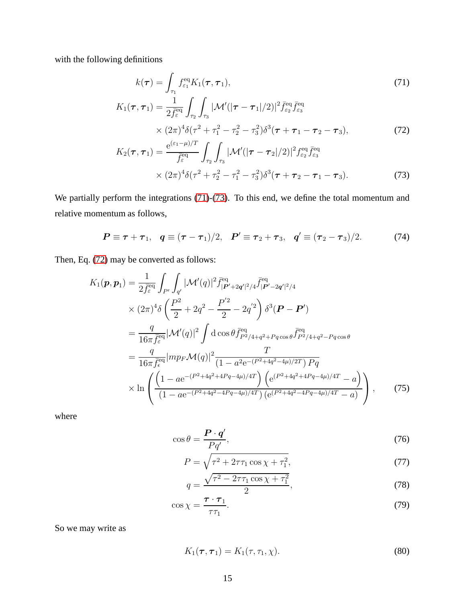with the following definitions

<span id="page-14-0"></span>
$$
k(\tau) = \int_{\tau_1} f_{\epsilon_1}^{\text{eq}} K_1(\tau, \tau_1),
$$
(71)  

$$
K_1(\tau, \tau_1) = \frac{1}{2 \bar{f}_{\epsilon}^{\text{eq}}} \int_{\tau_2} \int_{\tau_3} |\mathcal{M}'(|\tau - \tau_1|/2)|^2 \bar{f}_{\epsilon_2}^{\text{eq}} \bar{f}_{\epsilon_3}^{\text{eq}}
$$

$$
\times (2\pi)^4 \delta(\tau^2 + \tau_1^2 - \tau_2^2 - \tau_3^2) \delta^3(\tau + \tau_1 - \tau_2 - \tau_3),
$$
(72)  

$$
e^{(\epsilon_1 - \mu)/T} \int_{\tau_1}^{\tau_2} \int_{\tau_3}^{\tau_3} \frac{1}{\sqrt{\tau}} \delta(\tau - \tau_1^2 - \tau_2^2 - \tau_3^2) \delta^3(\tau - \tau_1^2 - \tau_3^2).
$$

<span id="page-14-2"></span><span id="page-14-1"></span>
$$
K_2(\tau, \tau_1) = \frac{e^{(\varepsilon_1 - \mu)/T}}{\bar{f}_{\varepsilon}^{eq}} \int_{\tau_2} \int_{\tau_3} |\mathcal{M}'(|\tau - \tau_2|/2)|^2 f_{\varepsilon_2}^{eq} \bar{f}_{\varepsilon_3}^{eq}
$$
  
 
$$
\times (2\pi)^4 \delta(\tau^2 + \tau_2^2 - \tau_1^2 - \tau_3^2) \delta^3(\tau + \tau_2 - \tau_1 - \tau_3).
$$
 (73)

We partially perform the integrations [\(71\)](#page-14-0)-[\(73\)](#page-14-1). To this end, we define the total momentum and relative momentum as follows,

$$
P \equiv \tau + \tau_1, \quad q \equiv (\tau - \tau_1)/2, \quad P' \equiv \tau_2 + \tau_3, \quad q' \equiv (\tau_2 - \tau_3)/2.
$$
 (74)

Then, Eq. [\(72\)](#page-14-2) may be converted as follows:

$$
K_{1}(\boldsymbol{p}, \boldsymbol{p}_{1}) = \frac{1}{2\bar{f}_{\varepsilon}^{\text{eq}}} \int_{P'} \int_{q'} |\mathcal{M}'(q)|^{2} \bar{f}_{|\boldsymbol{P}'+2q'|^{2}/4}^{\text{eq}} \bar{f}_{|\boldsymbol{P}'-2q'|^{2}/4}^{\text{eq}}
$$
  
\n
$$
\times (2\pi)^{4} \delta \left( \frac{P^{2}}{2} + 2q^{2} - \frac{P'^{2}}{2} - 2q'^{2} \right) \delta^{3}(\boldsymbol{P} - \boldsymbol{P}')
$$
  
\n
$$
= \frac{q}{16\pi \bar{f}_{\varepsilon}^{\text{eq}}} |\mathcal{M}'(q)|^{2} \int d\cos\theta \bar{f}_{P^{2}/4+q^{2}+Pq\cos\theta}^{\text{eq}} \bar{f}_{P^{2}/4+q^{2}-Pq\cos\theta}^{\text{eq}}
$$
  
\n
$$
= \frac{q}{16\pi \bar{f}_{\varepsilon}^{\text{eq}}} |mp_{F} \mathcal{M}(q)|^{2} \frac{T}{(1 - a^{2}e^{-(P^{2}+4q^{2}-4\mu)/2T}) P q}
$$
  
\n
$$
\times \ln \left( \frac{(1 - ae^{-(P^{2}+4q^{2}+4Pq-4\mu)/4T}) (e^{(P^{2}+4q^{2}+4Pq-4\mu)/4T} - a)}{(1 - ae^{-(P^{2}+4q^{2}-4Pq-4\mu)/4T}) (e^{(P^{2}+4q^{2}-4Pq-4\mu)/4T} - a)} \right), \qquad (75)
$$

where

$$
\cos \theta = \frac{\boldsymbol{P} \cdot \boldsymbol{q}'}{Pq'},\tag{76}
$$

$$
P = \sqrt{\tau^2 + 2\tau\tau_1 \cos\chi + \tau_1^2},\tag{77}
$$

$$
q = \frac{\sqrt{\tau^2 - 2\tau\tau_1 \cos \chi + \tau_1^2}}{2},\tag{78}
$$

$$
\cos \chi = \frac{\tau \cdot \tau_1}{\tau \tau_1}.
$$
\n(79)

So we may write as

$$
K_1(\boldsymbol{\tau}, \boldsymbol{\tau}_1) = K_1(\tau, \tau_1, \chi). \tag{80}
$$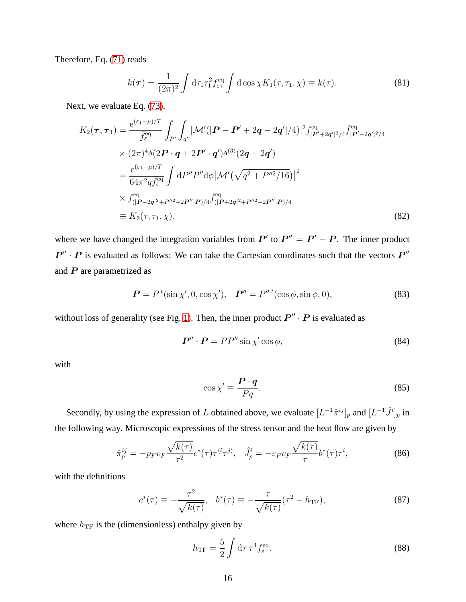Therefore, Eq. [\(71\)](#page-14-0) reads

$$
k(\tau) = \frac{1}{(2\pi)^2} \int d\tau_1 \tau_1^2 f_{\varepsilon_1}^{\text{eq}} \int d\cos\chi K_1(\tau, \tau_1, \chi) \equiv k(\tau). \tag{81}
$$

Next, we evaluate Eq. [\(73\)](#page-14-1).

$$
K_{2}(\tau,\tau_{1}) = \frac{e^{(\varepsilon_{1}-\mu)/T}}{\bar{f}_{\varepsilon}^{\text{eq}}} \int_{P'} \int_{q'} |\mathcal{M}'(|P - P' + 2q - 2q'|/4)|^{2} f_{|P' + 2q'|^{2}/4}^{\text{eq}} \bar{f}_{|P' - 2q'|^{2}/4}^{\text{eq}}
$$
  
×  $(2\pi)^{4} \delta(2P \cdot q + 2P' \cdot q') \delta^{(3)}(2q + 2q')$   

$$
= \frac{e^{(\varepsilon_{1}-\mu)/T}}{64\pi^{2}q\bar{f}_{\varepsilon}^{\text{eq}}} \int dP'' P'' d\phi |\mathcal{M}'(\sqrt{q^{2} + P''^{2}/16})|^{2}
$$
  
×  $f_{(|P - 2q|^{2} + P''^{2} + 2P'' \cdot P)/4}^{\text{eq}} \bar{f}_{(|P + 2q|^{2} + P''^{2} + 2P'' \cdot P)/4}^{\text{eq}}$   

$$
\equiv K_{2}(\tau, \tau_{1}, \chi), \qquad (82)
$$

where we have changed the integration variables from  $P'$  to  $P'' = P' - P$ . The inner product  $P'' \cdot P$  is evaluated as follows: We can take the Cartesian coordinates such that the vectors  $P''$ and  $P$  are parametrized as

$$
\boldsymbol{P} = P^{t}(\sin \chi', 0, \cos \chi'), \quad \boldsymbol{P}'' = P''^{t}(\cos \phi, \sin \phi, 0), \tag{83}
$$

without loss of generality (see Fig. [1\)](#page-16-0). Then, the inner product  $P'' \cdot P$  is evaluated as

$$
\boldsymbol{P}^{\prime\prime} \cdot \boldsymbol{P} = P P^{\prime\prime} \sin \chi^{\prime} \cos \phi, \tag{84}
$$

with

$$
\cos \chi' \equiv \frac{\boldsymbol{P} \cdot \boldsymbol{q}}{Pq}.
$$
\n(85)

Secondly, by using the expression of L obtained above, we evaluate  $[L^{-1}\hat{\pi}^{ij}]_p$  and  $[L^{-1}\hat{J}^i]_p$  in the following way. Microscopic expressions of the stress tensor and the heat flow are given by

$$
\hat{\pi}_p^{ij} = -p_F v_F \frac{\sqrt{k(\tau)}}{\tau^2} c^*(\tau) \tau^{\langle i\tau j \rangle}, \quad \hat{J}_p^i = -\varepsilon_F v_F \frac{\sqrt{k(\tau)}}{\tau} b^*(\tau) \tau^i,\tag{86}
$$

with the definitions

$$
c^*(\tau) \equiv -\frac{\tau^2}{\sqrt{k(\tau)}}, \quad b^*(\tau) \equiv -\frac{\tau}{\sqrt{k(\tau)}}(\tau^2 - h_{\text{TF}}), \tag{87}
$$

where  $h_{\text{TF}}$  is the (dimensionless) enthalpy given by

$$
h_{\rm TF} = \frac{5}{2} \int \mathrm{d}\tau \, \tau^4 f_{\varepsilon}^{\rm eq}.\tag{88}
$$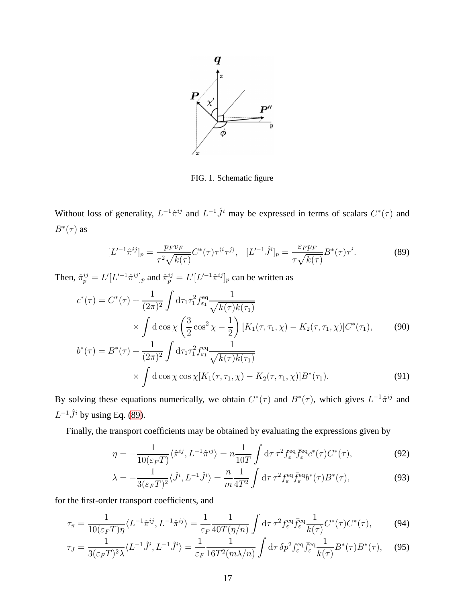

<span id="page-16-1"></span><span id="page-16-0"></span>FIG. 1. Schematic figure

Without loss of generality,  $L^{-1}\hat{\pi}^{ij}$  and  $L^{-1}\hat{J}^i$  may be expressed in terms of scalars  $C^*(\tau)$  and  $B^*(\tau)$  as

$$
[L'^{-1}\hat{\pi}^{ij}]_p = \frac{p_F v_F}{\tau^2 \sqrt{k(\tau)}} C^*(\tau) \tau^{\langle i} \tau^{j\rangle}, \quad [L'^{-1}\hat{J}^i]_p = \frac{\varepsilon_F p_F}{\tau \sqrt{k(\tau)}} B^*(\tau) \tau^i. \tag{89}
$$

Then,  $\hat{\pi}_p^{ij} = L'[L'^{-1}\hat{\pi}^{ij}]_p$  and  $\hat{\pi}_p^{ij} = L'[L'^{-1}\hat{\pi}^{ij}]_p$  can be written as

$$
c^*(\tau) = C^*(\tau) + \frac{1}{(2\pi)^2} \int d\tau_1 \tau_1^2 f_{\varepsilon_1}^{\text{eq}} \frac{1}{\sqrt{k(\tau)k(\tau_1)}}
$$
  
\$\times \int d\cos\chi \left(\frac{3}{2}\cos^2\chi - \frac{1}{2}\right)[K\_1(\tau, \tau\_1, \chi) - K\_2(\tau, \tau\_1, \chi)]C^\*(\tau\_1)\$, (90)\$

$$
b^*(\tau) = B^*(\tau) + \frac{1}{(2\pi)^2} \int d\tau_1 \tau_1^2 f_{\varepsilon_1}^{eq} \frac{1}{\sqrt{k(\tau)k(\tau_1)}}
$$
  
 
$$
\times \int d\cos\chi \cos\chi [K_1(\tau, \tau_1, \chi) - K_2(\tau, \tau_1, \chi)] B^*(\tau_1).
$$
 (91)

By solving these equations numerically, we obtain  $C^*(\tau)$  and  $B^*(\tau)$ , which gives  $L^{-1}\hat{\pi}^{ij}$  and  $L^{-1}\hat{J}^i$  by using Eq. [\(89\)](#page-16-1).

Finally, the transport coefficients may be obtained by evaluating the expressions given by

$$
\eta = -\frac{1}{10(\varepsilon_F T)} \langle \hat{\pi}^{ij}, L^{-1} \hat{\pi}^{ij} \rangle = n \frac{1}{10T} \int d\tau \, \tau^2 f_{\varepsilon}^{\text{eq}} \bar{f}_{\varepsilon}^{\text{eq}} c^*(\tau) C^*(\tau), \tag{92}
$$

$$
\lambda = -\frac{1}{3(\varepsilon_F T)^2} \langle \hat{J}^i, L^{-1} \hat{J}^i \rangle = \frac{n}{m} \frac{1}{4T^2} \int d\tau \, \tau^2 f_{\varepsilon}^{\text{eq}} \bar{f}_{\varepsilon}^{\text{eq}} b^*(\tau) B^*(\tau), \tag{93}
$$

for the first-order transport coefficients, and

$$
\tau_{\pi} = \frac{1}{10(\varepsilon_F T)\eta} \langle L^{-1} \hat{\pi}^{ij}, L^{-1} \hat{\pi}^{ij} \rangle = \frac{1}{\varepsilon_F} \frac{1}{40T(\eta/n)} \int d\tau \, \tau^2 f_{\varepsilon}^{\text{eq}} \bar{f}_{\varepsilon}^{\text{eq}} \frac{1}{k(\tau)} C^*(\tau) C^*(\tau), \tag{94}
$$

$$
\tau_J = \frac{1}{3(\varepsilon_F T)^2 \lambda} \langle L^{-1} \hat{J}^i, L^{-1} \hat{J}^i \rangle = \frac{1}{\varepsilon_F} \frac{1}{16T^2 (m\lambda/n)} \int d\tau \, \delta p^2 f_{\varepsilon}^{\text{eq}} \bar{f}_{\varepsilon}^{\text{eq}} \frac{1}{k(\tau)} B^*(\tau) B^*(\tau), \tag{95}
$$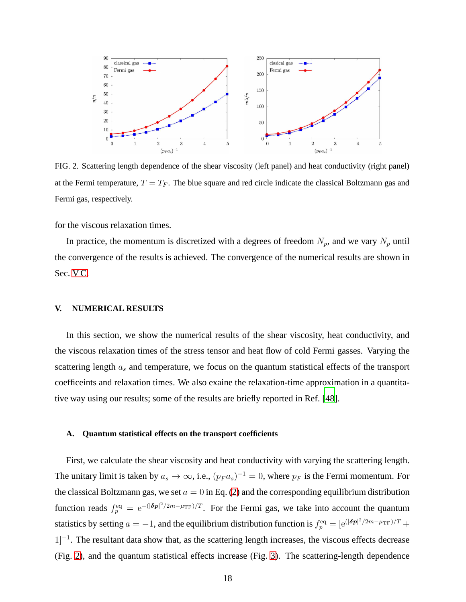

<span id="page-17-1"></span>FIG. 2. Scattering length dependence of the shear viscosity (left panel) and heat conductivity (right panel) at the Fermi temperature,  $T = T_F$ . The blue square and red circle indicate the classical Boltzmann gas and Fermi gas, respectively.

for the viscous relaxation times.

In practice, the momentum is discretized with a degrees of freedom  $N_p$ , and we vary  $N_p$  until the convergence of the results is achieved. The convergence of the numerical results are shown in Sec. V<sub>C</sub>.

#### <span id="page-17-0"></span>**V. NUMERICAL RESULTS**

In this section, we show the numerical results of the shear viscosity, heat conductivity, and the viscous relaxation times of the stress tensor and heat flow of cold Fermi gasses. Varying the scattering length  $a_s$  and temperature, we focus on the quantum statistical effects of the transport coefficeints and relaxation times. We also exaine the relaxation-time approximation in a quantitative way using our results; some of the results are briefly reported in Ref. [\[48\]](#page-32-1).

#### **A. Quantum statistical effects on the transport coefficients**

First, we calculate the shear viscosity and heat conductivity with varying the scattering length. The unitary limit is taken by  $a_s \to \infty$ , i.e.,  $(p_F a_s)^{-1} = 0$ , where  $p_F$  is the Fermi momentum. For the classical Boltzmann gas, we set  $a = 0$  in Eq. [\(2\)](#page-3-2) and the corresponding equilibrium distribution function reads  $f_p^{\text{eq}} = e^{-(|\delta p|^2/2m - \mu_{\text{TF}})/T}$ . For the Fermi gas, we take into account the quantum statistics by setting  $a = -1$ , and the equilibrium distribution function is  $f_p^{eq} = [e^{(\vert \delta p \vert^2 / 2m - \mu_{\rm TF})/T} +$ 1<sup>-1</sup>. The resultant data show that, as the scattering length increases, the viscous effects decrease (Fig. [2\)](#page-17-1), and the quantum statistical effects increase (Fig. [3\)](#page-18-0). The scattering-length dependence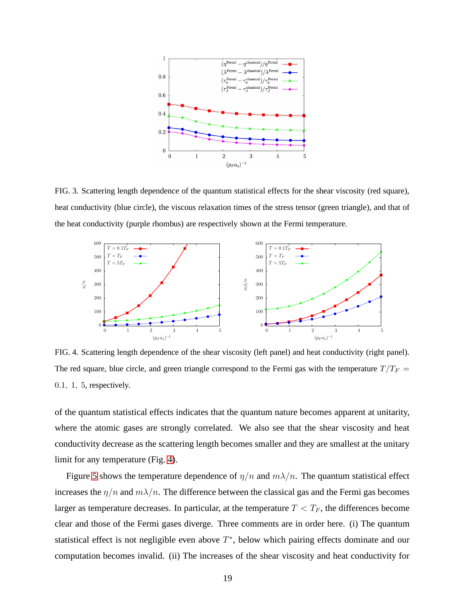

<span id="page-18-0"></span>FIG. 3. Scattering length dependence of the quantum statistical effects for the shear viscosity (red square), heat conductivity (blue circle), the viscous relaxation times of the stress tensor (green triangle), and that of the heat conductivity (purple rhombus) are respectively shown at the Fermi temperature.



<span id="page-18-1"></span>FIG. 4. Scattering length dependence of the shear viscosity (left panel) and heat conductivity (right panel). The red square, blue circle, and green triangle correspond to the Fermi gas with the temperature  $T/T_F$  = 0.1, 1, 5, respectively.

of the quantum statistical effects indicates that the quantum nature becomes apparent at unitarity, where the atomic gases are strongly correlated. We also see that the shear viscosity and heat conductivity decrease as the scattering length becomes smaller and they are smallest at the unitary limit for any temperature (Fig. [4\)](#page-18-1).

Figure [5](#page-19-0) shows the temperature dependence of  $\eta/n$  and  $m\lambda/n$ . The quantum statistical effect increases the  $\eta/n$  and  $m\lambda/n$ . The difference between the classical gas and the Fermi gas becomes larger as temperature decreases. In particular, at the temperature  $T < T_F$ , the differences become clear and those of the Fermi gases diverge. Three comments are in order here. (i) The quantum statistical effect is not negligible even above  $T^*$ , below which pairing effects dominate and our computation becomes invalid. (ii) The increases of the shear viscosity and heat conductivity for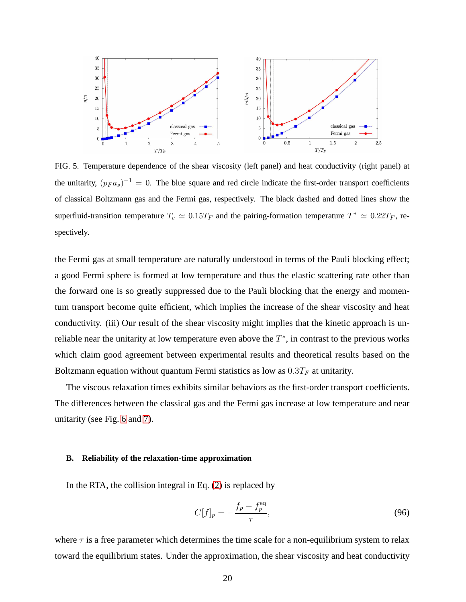

<span id="page-19-0"></span>FIG. 5. Temperature dependence of the shear viscosity (left panel) and heat conductivity (right panel) at the unitarity,  $(p_F a_s)^{-1} = 0$ . The blue square and red circle indicate the first-order transport coefficients of classical Boltzmann gas and the Fermi gas, respectively. The black dashed and dotted lines show the superfluid-transition temperature  $T_c \simeq 0.15T_F$  and the pairing-formation temperature  $T^* \simeq 0.22T_F$ , respectively.

the Fermi gas at small temperature are naturally understood in terms of the Pauli blocking effect; a good Fermi sphere is formed at low temperature and thus the elastic scattering rate other than the forward one is so greatly suppressed due to the Pauli blocking that the energy and momentum transport become quite efficient, which implies the increase of the shear viscosity and heat conductivity. (iii) Our result of the shear viscosity might implies that the kinetic approach is unreliable near the unitarity at low temperature even above the  $T^*$ , in contrast to the previous works which claim good agreement between experimental results and theoretical results based on the Boltzmann equation without quantum Fermi statistics as low as  $0.3T_F$  at unitarity.

The viscous relaxation times exhibits similar behaviors as the first-order transport coefficients. The differences between the classical gas and the Fermi gas increase at low temperature and near unitarity (see Fig. [6](#page-20-0) and [7\)](#page-20-1).

#### **B. Reliability of the relaxation-time approximation**

In the RTA, the collision integral in Eq.  $(2)$  is replaced by

$$
C[f]_p = -\frac{f_p - f_p^{\text{eq}}}{\tau},\tag{96}
$$

where  $\tau$  is a free parameter which determines the time scale for a non-equilibrium system to relax toward the equilibrium states. Under the approximation, the shear viscosity and heat conductivity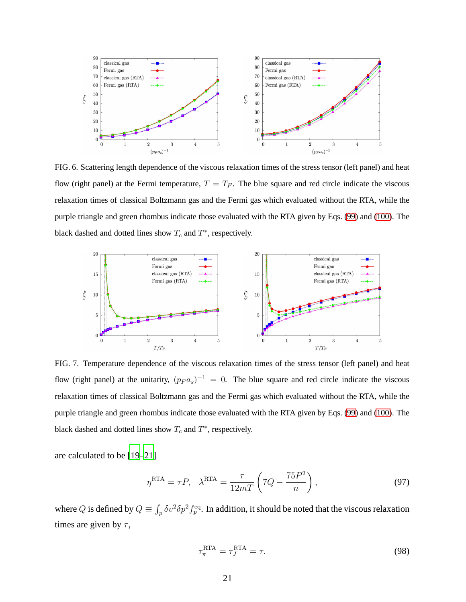

<span id="page-20-0"></span>FIG. 6. Scattering length dependence of the viscous relaxation times of the stress tensor (left panel) and heat flow (right panel) at the Fermi temperature,  $T = T_F$ . The blue square and red circle indicate the viscous relaxation times of classical Boltzmann gas and the Fermi gas which evaluated without the RTA, while the purple triangle and green rhombus indicate those evaluated with the RTA given by Eqs. [\(99\)](#page-22-0) and [\(100\)](#page-22-1). The black dashed and dotted lines show  $T_c$  and  $T^*$ , respectively.



<span id="page-20-1"></span>FIG. 7. Temperature dependence of the viscous relaxation times of the stress tensor (left panel) and heat flow (right panel) at the unitarity,  $(p_F a_s)^{-1} = 0$ . The blue square and red circle indicate the viscous relaxation times of classical Boltzmann gas and the Fermi gas which evaluated without the RTA, while the purple triangle and green rhombus indicate those evaluated with the RTA given by Eqs. [\(99\)](#page-22-0) and [\(100\)](#page-22-1). The black dashed and dotted lines show  $T_c$  and  $T^*$ , respectively.

are calculated to be [\[19](#page-31-11)[–21\]](#page-31-1)

$$
\eta^{\text{RTA}} = \tau P, \quad \lambda^{\text{RTA}} = \frac{\tau}{12mT} \left( 7Q - \frac{75P^2}{n} \right),\tag{97}
$$

where Q is defined by  $Q \equiv \int_p \delta v^2 \delta p^2 f_p^{\text{eq}}$ . In addition, it should be noted that the viscous relaxation times are given by  $\tau$ ,

<span id="page-20-3"></span><span id="page-20-2"></span>
$$
\tau_{\pi}^{\text{RTA}} = \tau_J^{\text{RTA}} = \tau.
$$
\n(98)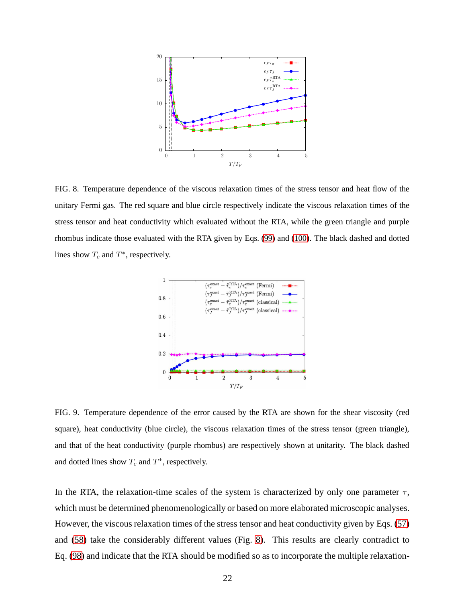

<span id="page-21-0"></span>FIG. 8. Temperature dependence of the viscous relaxation times of the stress tensor and heat flow of the unitary Fermi gas. The red square and blue circle respectively indicate the viscous relaxation times of the stress tensor and heat conductivity which evaluated without the RTA, while the green triangle and purple rhombus indicate those evaluated with the RTA given by Eqs. [\(99\)](#page-22-0) and [\(100\)](#page-22-1). The black dashed and dotted lines show  $T_c$  and  $T^*$ , respectively.



<span id="page-21-1"></span>FIG. 9. Temperature dependence of the error caused by the RTA are shown for the shear viscosity (red square), heat conductivity (blue circle), the viscous relaxation times of the stress tensor (green triangle), and that of the heat conductivity (purple rhombus) are respectively shown at unitarity. The black dashed and dotted lines show  $T_c$  and  $T^*$ , respectively.

In the RTA, the relaxation-time scales of the system is characterized by only one parameter  $\tau$ , which must be determined phenomenologically or based on more elaborated microscopic analyses. However, the viscous relaxation times of the stress tensor and heat conductivity given by Eqs. [\(57\)](#page-11-5) and [\(58\)](#page-11-1) take the considerably different values (Fig. [8\)](#page-21-0). This results are clearly contradict to Eq. [\(98\)](#page-20-2) and indicate that the RTA should be modified so as to incorporate the multiple relaxation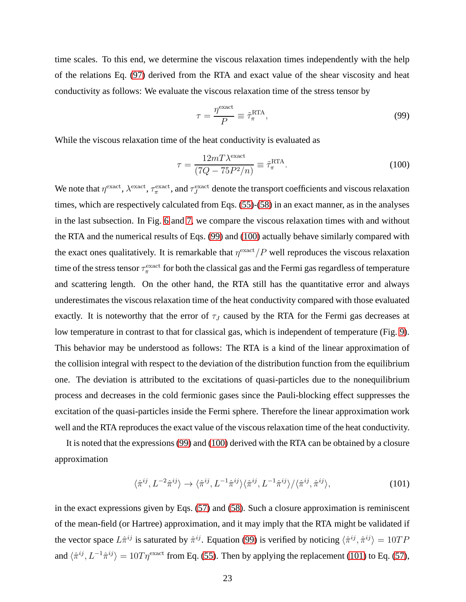time scales. To this end, we determine the viscous relaxation times independently with the help of the relations Eq. [\(97\)](#page-20-3) derived from the RTA and exact value of the shear viscosity and heat conductivity as follows: We evaluate the viscous relaxation time of the stress tensor by

<span id="page-22-1"></span><span id="page-22-0"></span>
$$
\tau = \frac{\eta^{\text{exact}}}{P} \equiv \tilde{\tau}_{\pi}^{\text{RTA}},\tag{99}
$$

While the viscous relaxation time of the heat conductivity is evaluated as

$$
\tau = \frac{12mT\lambda^{\text{exact}}}{(7Q - 75P^2/n)} \equiv \tilde{\tau}_{\pi}^{\text{RTA}}.
$$
\n(100)

We note that  $\eta^{\rm exact}, \lambda^{\rm exact}, \tau^{\rm exact}_\pi$ , and  $\tau^{\rm exact}_J$  denote the transport coefficients and viscous relaxation times, which are respectively calculated from Eqs. [\(55\)](#page-11-0)-[\(58\)](#page-11-1) in an exact manner, as in the analyses in the last subsection. In Fig. [6](#page-20-0) and [7,](#page-20-1) we compare the viscous relaxation times with and without the RTA and the numerical results of Eqs. [\(99\)](#page-22-0) and [\(100\)](#page-22-1) actually behave similarly compared with the exact ones qualitatively. It is remarkable that  $\eta^{\text{exact}}/P$  well reproduces the viscous relaxation time of the stress tensor  $\tau_\pi^\mathrm{exact}$  for both the classical gas and the Fermi gas regardless of temperature and scattering length. On the other hand, the RTA still has the quantitative error and always underestimates the viscous relaxation time of the heat conductivity compared with those evaluated exactly. It is noteworthy that the error of  $\tau_J$  caused by the RTA for the Fermi gas decreases at low temperature in contrast to that for classical gas, which is independent of temperature (Fig. [9\)](#page-21-1). This behavior may be understood as follows: The RTA is a kind of the linear approximation of the collision integral with respect to the deviation of the distribution function from the equilibrium one. The deviation is attributed to the excitations of quasi-particles due to the nonequilibrium process and decreases in the cold fermionic gases since the Pauli-blocking effect suppresses the excitation of the quasi-particles inside the Fermi sphere. Therefore the linear approximation work well and the RTA reproduces the exact value of the viscous relaxation time of the heat conductivity.

It is noted that the expressions [\(99\)](#page-22-0) and [\(100\)](#page-22-1) derived with the RTA can be obtained by a closure approximation

<span id="page-22-2"></span>
$$
\langle \hat{\pi}^{ij}, L^{-2} \hat{\pi}^{ij} \rangle \to \langle \hat{\pi}^{ij}, L^{-1} \hat{\pi}^{ij} \rangle \langle \hat{\pi}^{ij}, L^{-1} \hat{\pi}^{ij} \rangle / \langle \hat{\pi}^{ij}, \hat{\pi}^{ij} \rangle, \tag{101}
$$

in the exact expressions given by Eqs. [\(57\)](#page-11-5) and [\(58\)](#page-11-1). Such a closure approximation is reminiscent of the mean-field (or Hartree) approximation, and it may imply that the RTA might be validated if the vector space  $L\hat{\pi}^{ij}$  is saturated by  $\hat{\pi}^{ij}$ . Equation [\(99\)](#page-22-0) is verified by noticing  $\langle \hat{\pi}^{ij}, \hat{\pi}^{ij} \rangle = 10TP$ and  $\langle \hat{\pi}^{ij} , L^{-1}\hat{\pi}^{ij} \rangle = 10T \eta^{\text{exact}}$  from Eq. [\(55\)](#page-11-0). Then by applying the replacement [\(101\)](#page-22-2) to Eq. [\(57\)](#page-11-5),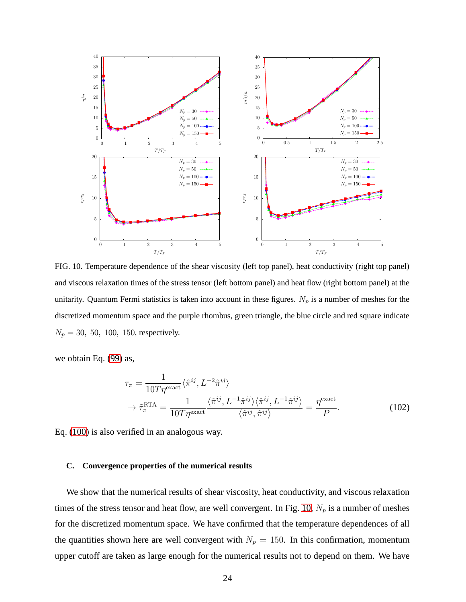

<span id="page-23-1"></span>FIG. 10. Temperature dependence of the shear viscosity (left top panel), heat conductivity (right top panel) and viscous relaxation times of the stress tensor (left bottom panel) and heat flow (right bottom panel) at the unitarity. Quantum Fermi statistics is taken into account in these figures.  $N_p$  is a number of meshes for the discretized momentum space and the purple rhombus, green triangle, the blue circle and red square indicate  $N_p = 30, 50, 100, 150$ , respectively.

we obtain Eq. [\(99\)](#page-22-0) as,

$$
\tau_{\pi} = \frac{1}{10T\eta^{\text{exact}}} \langle \hat{\pi}^{ij}, L^{-2} \hat{\pi}^{ij} \rangle
$$
  
\n
$$
\rightarrow \tilde{\tau}_{\pi}^{\text{RTA}} = \frac{1}{10T\eta^{\text{exact}}} \frac{\langle \hat{\pi}^{ij}, L^{-1} \hat{\pi}^{ij} \rangle \langle \hat{\pi}^{ij}, L^{-1} \hat{\pi}^{ij} \rangle}{\langle \hat{\pi}^{ij}, \hat{\pi}^{ij} \rangle} = \frac{\eta^{\text{exact}}}{P}.
$$
 (102)

Eq. [\(100\)](#page-22-1) is also verified in an analogous way.

#### <span id="page-23-0"></span>**C. Convergence properties of the numerical results**

We show that the numerical results of shear viscosity, heat conductivity, and viscous relaxation times of the stress tensor and heat flow, are well convergent. In Fig. [10,](#page-23-1)  $N_p$  is a number of meshes for the discretized momentum space. We have confirmed that the temperature dependences of all the quantities shown here are well convergent with  $N_p = 150$ . In this confirmation, momentum upper cutoff are taken as large enough for the numerical results not to depend on them. We have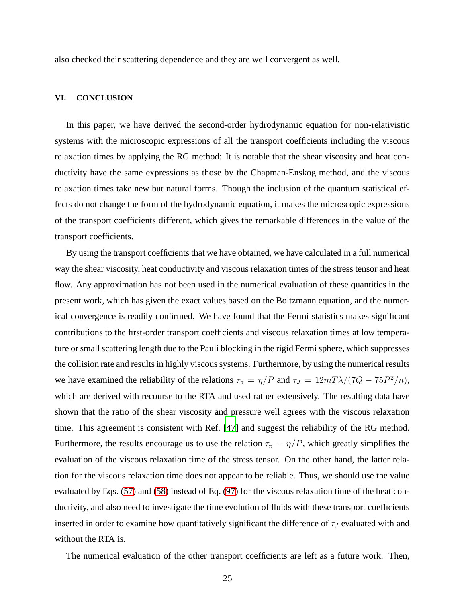also checked their scattering dependence and they are well convergent as well.

## <span id="page-24-0"></span>**VI. CONCLUSION**

In this paper, we have derived the second-order hydrodynamic equation for non-relativistic systems with the microscopic expressions of all the transport coefficients including the viscous relaxation times by applying the RG method: It is notable that the shear viscosity and heat conductivity have the same expressions as those by the Chapman-Enskog method, and the viscous relaxation times take new but natural forms. Though the inclusion of the quantum statistical effects do not change the form of the hydrodynamic equation, it makes the microscopic expressions of the transport coefficients different, which gives the remarkable differences in the value of the transport coefficients.

By using the transport coefficients that we have obtained, we have calculated in a full numerical way the shear viscosity, heat conductivity and viscous relaxation times of the stress tensor and heat flow. Any approximation has not been used in the numerical evaluation of these quantities in the present work, which has given the exact values based on the Boltzmann equation, and the numerical convergence is readily confirmed. We have found that the Fermi statistics makes significant contributions to the first-order transport coefficients and viscous relaxation times at low temperature or small scattering length due to the Pauli blocking in the rigid Fermi sphere, which suppresses the collision rate and results in highly viscous systems. Furthermore, by using the numerical results we have examined the reliability of the relations  $\tau_{\pi} = \eta / P$  and  $\tau_{J} = 12 m T \lambda / (7Q - 75P^{2}/n)$ , which are derived with recourse to the RTA and used rather extensively. The resulting data have shown that the ratio of the shear viscosity and pressure well agrees with the viscous relaxation time. This agreement is consistent with Ref. [\[47\]](#page-32-0) and suggest the reliability of the RG method. Furthermore, the results encourage us to use the relation  $\tau_{\pi} = \eta/P$ , which greatly simplifies the evaluation of the viscous relaxation time of the stress tensor. On the other hand, the latter relation for the viscous relaxation time does not appear to be reliable. Thus, we should use the value evaluated by Eqs. [\(57\)](#page-11-5) and [\(58\)](#page-11-1) instead of Eq. [\(97\)](#page-20-3) for the viscous relaxation time of the heat conductivity, and also need to investigate the time evolution of fluids with these transport coefficients inserted in order to examine how quantitatively significant the difference of  $\tau_J$  evaluated with and without the RTA is.

The numerical evaluation of the other transport coefficients are left as a future work. Then,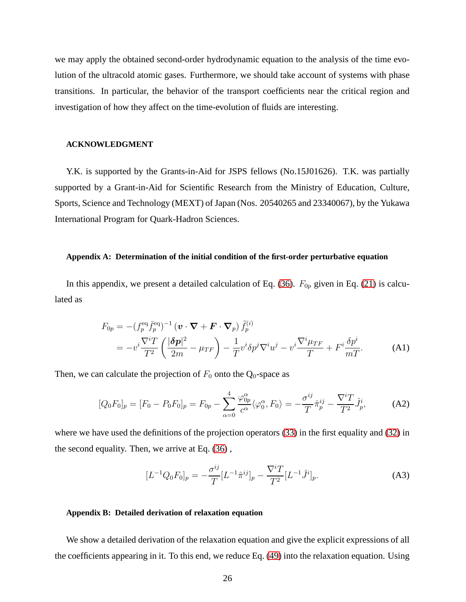we may apply the obtained second-order hydrodynamic equation to the analysis of the time evolution of the ultracold atomic gases. Furthermore, we should take account of systems with phase transitions. In particular, the behavior of the transport coefficients near the critical region and investigation of how they affect on the time-evolution of fluids are interesting.

#### **ACKNOWLEDGMENT**

Y.K. is supported by the Grants-in-Aid for JSPS fellows (No.15J01626). T.K. was partially supported by a Grant-in-Aid for Scientific Research from the Ministry of Education, Culture, Sports, Science and Technology (MEXT) of Japan (Nos. 20540265 and 23340067), by the Yukawa International Program for Quark-Hadron Sciences.

#### <span id="page-25-0"></span>**Appendix A: Determination of the initial condition of the first-order perturbative equation**

In this appendix, we present a detailed calculation of Eq. [\(36\)](#page-8-2).  $F_{0p}$  given in Eq. [\(21\)](#page-6-1) is calculated as

$$
F_{0p} = -(f_p^{\text{eq}} \bar{f}_p^{\text{eq}})^{-1} \left( \boldsymbol{v} \cdot \boldsymbol{\nabla} + \boldsymbol{F} \cdot \boldsymbol{\nabla}_p \right) \tilde{f}_p^{(i)}
$$
  
= 
$$
-v^i \frac{\nabla^i T}{T^2} \left( \frac{|\delta \boldsymbol{p}|^2}{2m} - \mu_{TF} \right) - \frac{1}{T} v^i \delta p^j \nabla^i u^j - v^i \frac{\nabla^i \mu_{TF}}{T} + F^i \frac{\delta p^i}{mT}.
$$
 (A1)

Then, we can calculate the projection of  $F_0$  onto the  $Q_0$ -space as

$$
[Q_0 F_0]_p = [F_0 - P_0 F_0]_p = F_{0p} - \sum_{\alpha=0}^4 \frac{\varphi_{0p}^{\alpha}}{c^{\alpha}} \langle \varphi_0^{\alpha}, F_0 \rangle = -\frac{\sigma^{ij}}{T} \hat{\pi}_p^{ij} - \frac{\nabla^i T}{T^2} \hat{J}_p^i, \tag{A2}
$$

where we have used the definitions of the projection operators [\(33\)](#page-7-1) in the first equality and [\(32\)](#page-7-2) in the second equality. Then, we arrive at Eq. [\(36\)](#page-8-2) ,

$$
[L^{-1}Q_0F_0]_p = -\frac{\sigma^{ij}}{T}[L^{-1}\hat{\pi}^{ij}]_p - \frac{\nabla^i T}{T^2}[L^{-1}\hat{J}^i]_p.
$$
 (A3)

#### <span id="page-25-1"></span>**Appendix B: Detailed derivation of relaxation equation**

We show a detailed derivation of the relaxation equation and give the explicit expressions of all the coefficients appearing in it. To this end, we reduce Eq. [\(49\)](#page-10-1) into the relaxation equation. Using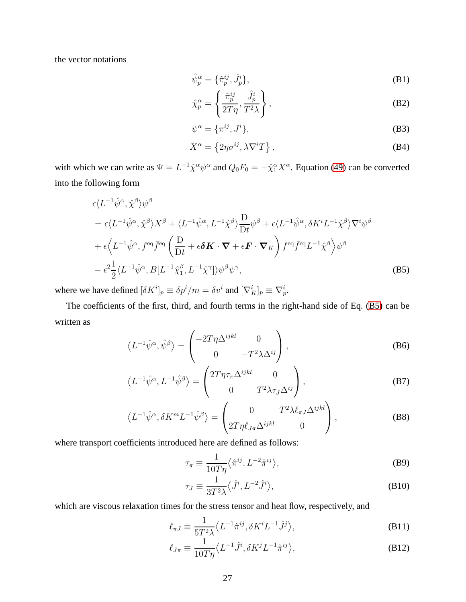the vector notations

$$
\hat{\psi}_p^{\alpha} = {\hat{\pi}_p^{ij}, \hat{J}_p^{i}}, \tag{B1}
$$

$$
\hat{\chi}_p^{\alpha} = \left\{ \frac{\hat{\pi}_p^{ij}}{2T\eta}, \frac{\hat{J}_p^i}{T^2\lambda} \right\},\tag{B2}
$$

$$
\psi^{\alpha} = {\pi^{ij}, J^i}, \tag{B3}
$$

<span id="page-26-0"></span>
$$
X^{\alpha} = \left\{ 2\eta \sigma^{ij}, \lambda \nabla^i T \right\},\tag{B4}
$$

with which we can write as  $\Psi = L^{-1}\hat{\chi}^{\alpha}\psi^{\alpha}$  and  $Q_0F_0 = -\hat{\chi}^{\alpha}_1X^{\alpha}$ . Equation [\(49\)](#page-10-1) can be converted into the following form

$$
\epsilon \langle L^{-1} \hat{\psi}^{\alpha}, \hat{\chi}^{\beta} \rangle \psi^{\beta}
$$
\n
$$
= \epsilon \langle L^{-1} \hat{\psi}^{\alpha}, \hat{\chi}^{\beta} \rangle X^{\beta} + \langle L^{-1} \hat{\psi}^{\alpha}, L^{-1} \hat{\chi}^{\beta} \rangle \frac{\mathcal{D}}{\mathcal{D}t} \psi^{\beta} + \epsilon \langle L^{-1} \hat{\psi}^{\alpha}, \delta K^{i} L^{-1} \hat{\chi}^{\beta} \rangle \nabla^{i} \psi^{\beta}
$$
\n
$$
+ \epsilon \langle L^{-1} \hat{\psi}^{\alpha}, f^{\text{eq}} \bar{f}^{\text{eq}} \left( \frac{\mathcal{D}}{\mathcal{D}t} + \epsilon \delta \mathcal{K} \cdot \nabla + \epsilon \mathcal{F} \cdot \nabla_{K} \right) f^{\text{eq}} \bar{f}^{\text{eq}} L^{-1} \hat{\chi}^{\beta} \rangle \psi^{\beta}
$$
\n
$$
- \epsilon^{2} \frac{1}{2} \langle L^{-1} \hat{\psi}^{\alpha}, B[L^{-1} \hat{\chi}^{\beta}, L^{-1} \hat{\chi}^{\gamma}] \rangle \psi^{\beta} \psi^{\gamma}, \tag{B5}
$$

where we have defined  $[\delta K^i]_p \equiv \delta p^i / m = \delta v^i$  and  $[\nabla^i_K]_p \equiv \nabla^i_p$ .

The coefficients of the first, third, and fourth terms in the right-hand side of Eq. [\(B5\)](#page-26-0) can be written as

$$
\left\langle L^{-1}\hat{\psi}^{\alpha},\hat{\psi}^{\beta}\right\rangle = \begin{pmatrix} -2T\eta\Delta^{ijkl} & 0\\ 0 & -T^2\lambda\Delta^{ij} \end{pmatrix},\tag{B6}
$$

$$
\left\langle L^{-1}\hat{\psi}^{\alpha}, L^{-1}\hat{\psi}^{\beta}\right\rangle = \begin{pmatrix} 2T\eta\tau_{\pi}\Delta^{ijkl} & 0\\ 0 & T^2\lambda\tau_{J}\Delta^{ij} \end{pmatrix},
$$
(B7)

$$
\left\langle L^{-1}\hat{\psi}^{\alpha}, \delta K^{m}L^{-1}\hat{\psi}^{\beta}\right\rangle = \begin{pmatrix} 0 & T^{2}\lambda\ell_{\pi J}\Delta^{ijkl} \\ 2T\eta\ell_{J\pi}\Delta^{ijkl} & 0 \end{pmatrix},
$$
 (B8)

where transport coefficients introduced here are defined as follows:

$$
\tau_{\pi} \equiv \frac{1}{10T\eta} \langle \hat{\pi}^{ij}, L^{-2} \hat{\pi}^{ij} \rangle, \tag{B9}
$$

$$
\tau_J \equiv \frac{1}{3T^2 \lambda} \langle \hat{J}^i, L^{-2} \hat{J}^i \rangle, \tag{B10}
$$

which are viscous relaxation times for the stress tensor and heat flow, respectively, and

$$
\ell_{\pi J} \equiv \frac{1}{5T^2 \lambda} \langle L^{-1} \hat{\pi}^{ij}, \delta K^i L^{-1} \hat{J}^j \rangle, \tag{B11}
$$

$$
\ell_{J\pi} \equiv \frac{1}{10T\eta} \langle L^{-1}\hat{J}^i, \delta K^j L^{-1} \hat{\pi}^{ij} \rangle, \tag{B12}
$$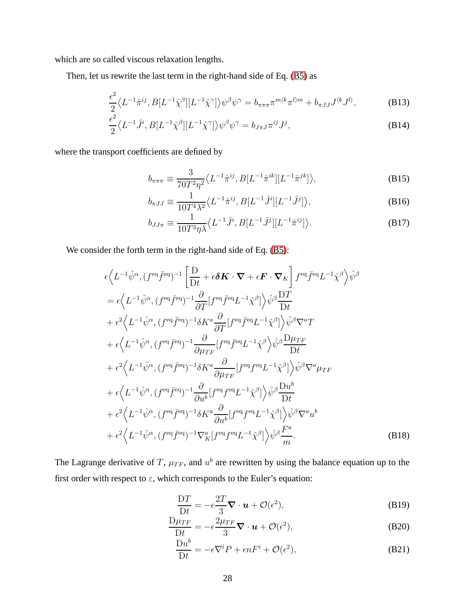which are so called viscous relaxation lengths.

Then, let us rewrite the last term in the right-hand side of Eq. [\(B5\)](#page-26-0) as

$$
\frac{\epsilon^2}{2} \langle L^{-1}\hat{\pi}^{ij}, B[L^{-1}\hat{\chi}^{\beta}][L^{-1}\hat{\chi}^{\gamma}] \rangle \psi^{\beta} \psi^{\gamma} = b_{\pi\pi\pi} \pi^{m \langle k} \pi^{l \rangle m} + b_{\pi JJ} J^{\langle k} J^{l \rangle}, \tag{B13}
$$

$$
\frac{\epsilon^2}{2} \langle L^{-1} \hat{J}^i, B[L^{-1} \hat{\chi}^\beta][L^{-1} \hat{\chi}^\gamma] \rangle \psi^\beta \psi^\gamma = b_{J\pi J} \pi^{ij} J^j,
$$
\n(B14)

where the transport coefficients are defined by

$$
b_{\pi\pi\pi} \equiv \frac{3}{70T^2\eta^2} \langle L^{-1}\hat{\pi}^{ij}, B[L^{-1}\hat{\pi}^{ik}][L^{-1}\hat{\pi}^{jk}] \rangle, \tag{B15}
$$

$$
b_{\pi JJ} \equiv \frac{1}{10T^4\lambda^2} \langle L^{-1}\hat{\pi}^{ij}, B[L^{-1}\hat{J}^i][L^{-1}\hat{J}^j] \rangle, \tag{B16}
$$

$$
b_{JJ\pi} \equiv \frac{1}{10T^3\eta\lambda} \langle L^{-1}\hat{J}^i, B[L^{-1}\hat{J}^j][L^{-1}\hat{\pi}^{ij}] \rangle.
$$
 (B17)

We consider the forth term in the right-hand side of Eq. [\(B5\)](#page-26-0):

$$
\epsilon \langle L^{-1}\hat{\psi}^{\alpha},(f^{eq}\bar{f}^{eq})^{-1} \left[ \frac{D}{Dt} + \epsilon \delta \mathbf{K} \cdot \nabla + \epsilon \mathbf{F} \cdot \nabla_{K} \right] f^{eq}\bar{f}^{eq}L^{-1}\hat{\chi}^{\beta} \rangle \hat{\psi}^{\beta}
$$
\n
$$
= \epsilon \langle L^{-1}\hat{\psi}^{\alpha},(f^{eq}\bar{f}^{eq})^{-1} \frac{\partial}{\partial T} [f^{eq}\bar{f}^{eq}L^{-1}\hat{\chi}^{\beta}] \rangle \hat{\psi}^{\beta} \frac{D T}{Dt}
$$
\n
$$
+ \epsilon^{2} \langle L^{-1}\hat{\psi}^{\alpha},(f^{eq}\bar{f}^{eq})^{-1} \delta K^{a} \frac{\partial}{\partial T} [f^{eq}\bar{f}^{eq}L^{-1}\hat{\chi}^{\beta}] \rangle \hat{\psi}^{\beta} \nabla^{a}T
$$
\n
$$
+ \epsilon \langle L^{-1}\hat{\psi}^{\alpha},(f^{eq}\bar{f}^{eq})^{-1} \frac{\partial}{\partial \mu_{TF}} [f^{eq}\bar{f}^{eq}L^{-1}\hat{\chi}^{\beta}] \rangle \hat{\psi}^{\beta} \nabla^{a}T
$$
\n
$$
+ \epsilon \langle L^{-1}\hat{\psi}^{\alpha},(f^{eq}\bar{f}^{eq})^{-1} \delta K^{a} \frac{\partial}{\partial \mu_{TF}} [f^{eq}f^{eq}L^{-1}\hat{\chi}^{\beta}] \rangle \hat{\psi}^{\beta} \nabla^{a} \mu_{TF}
$$
\n
$$
+ \epsilon^{2} \langle L^{-1}\hat{\psi}^{\alpha},(f^{eq}\bar{f}^{eq})^{-1} \delta K^{a} \frac{\partial}{\partial \mu_{TF}} [f^{eq}f^{eq}L^{-1}\hat{\chi}^{\beta}] \rangle \hat{\psi}^{\beta} \nabla^{a} \mu_{TF}
$$
\n
$$
+ \epsilon \langle L^{-1}\hat{\psi}^{\alpha},(f^{eq}\bar{f}^{eq})^{-1} \frac{\partial}{\partial u^{b}} [f^{eq}f^{eq}L^{-1}\hat{\chi}^{\beta}] \rangle \hat{\psi}^{\beta} \frac{\mathrm{D}u^{b}}{\mathrm{D}t}
$$
\n
$$
+ \epsilon^{2} \langle L^{-1}\hat{\psi}^{\alpha},(f^{eq}\bar{f}^{eq})^{-1
$$

The Lagrange derivative of T,  $\mu_{TF}$ , and  $u^b$  are rewritten by using the balance equation up to the first order with respect to  $\varepsilon$ , which corresponds to the Euler's equation:

<span id="page-27-1"></span><span id="page-27-0"></span>
$$
\frac{\mathcal{D}T}{\mathcal{D}t} = -\epsilon \frac{2T}{3} \mathbf{\nabla} \cdot \mathbf{u} + \mathcal{O}(\epsilon^2),\tag{B19}
$$

$$
\frac{\mathcal{D}\mu_{TF}}{\mathcal{D}t} = -\epsilon \frac{2\mu_{TF}}{3} \nabla \cdot \boldsymbol{u} + \mathcal{O}(\epsilon^2),\tag{B20}
$$

$$
\frac{\mathrm{D}u^b}{\mathrm{D}t} = -\epsilon \nabla^i P + \epsilon n F^i + \mathcal{O}(\epsilon^2),\tag{B21}
$$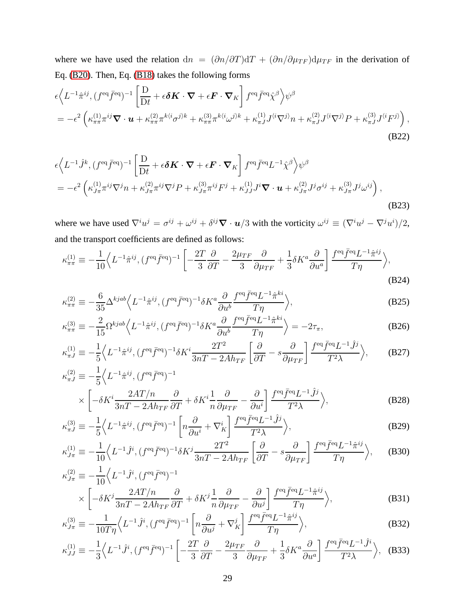where we have used the relation dn =  $(\partial n/\partial T)dT + (\partial n/\partial \mu_{TF})d\mu_{TF}$  in the derivation of Eq. [\(B20\)](#page-27-0). Then, Eq. [\(B18\)](#page-27-1) takes the following forms

$$
\epsilon \left\langle L^{-1} \hat{\pi}^{ij}, (f^{\text{eq}} \bar{f}^{\text{eq}})^{-1} \left[ \frac{D}{Dt} + \epsilon \delta \mathbf{K} \cdot \nabla + \epsilon \mathbf{F} \cdot \nabla_K \right] f^{\text{eq}} \bar{f}^{\text{eq}} \hat{\chi}^{\beta} \right\rangle \psi^{\beta}
$$
\n
$$
= -\epsilon^2 \left( \kappa_{\pi\pi}^{(1)} \pi^{ij} \nabla \cdot \mathbf{u} + \kappa_{\pi\pi}^{(2)} \pi^{k \langle i \sigma^{j} \rangle k} + \kappa_{\pi\pi}^{(3)} \pi^{k \langle i \omega^{j} \rangle k} + \kappa_{\pi J}^{(1)} J^{\langle i \nabla^{j} \rangle} n + \kappa_{\pi J}^{(2)} J^{\langle i \nabla^{j} \rangle} P + \kappa_{\pi J}^{(3)} J^{\langle i} F^{j \rangle} \right),
$$
\n(B22)

$$
\epsilon \left\langle L^{-1}\hat{J}^{k},(f^{\text{eq}}\bar{f}^{\text{eq}})^{-1}\left[\frac{\mathcal{D}}{\mathcal{D}t}+\epsilon\delta\mathbf{K}\cdot\boldsymbol{\nabla}+\epsilon\mathbf{F}\cdot\boldsymbol{\nabla}_{K}\right]f^{\text{eq}}\bar{f}^{\text{eq}}L^{-1}\hat{\chi}^{\beta}\right\rangle\psi^{\beta}
$$
\n
$$
=-\epsilon^{2}\left(\kappa_{J\pi}^{(1)}\pi^{ij}\nabla^{j}n+\kappa_{J\pi}^{(2)}\pi^{ij}\nabla^{j}P+\kappa_{J\pi}^{(3)}\pi^{ij}F^{j}+\kappa_{JJ}^{(1)}J^{i}\boldsymbol{\nabla}\cdot\mathbf{u}+\kappa_{J\pi}^{(2)}J^{j}\sigma^{ij}+\kappa_{J\pi}^{(3)}J^{j}\omega^{ij}\right),\tag{B23}
$$

where we have used  $\nabla^i u^j = \sigma^{ij} + \omega^{ij} + \delta^{ij} \nabla \cdot \mathbf{u}/3$  with the vorticity  $\omega^{ij} \equiv (\nabla^i u^j - \nabla^j u^i)/2$ , and the transport coefficients are defined as follows:

$$
\kappa_{\pi\pi}^{(1)} \equiv -\frac{1}{10} \Big\langle L^{-1} \hat{\pi}^{ij}, (f^{\text{eq}} \bar{f}^{\text{eq}})^{-1} \left[ -\frac{2T}{3} \frac{\partial}{\partial T} - \frac{2\mu_{TF}}{3} \frac{\partial}{\partial \mu_{TF}} + \frac{1}{3} \delta K^a \frac{\partial}{\partial u^a} \right] \frac{f^{\text{eq}} \bar{f}^{\text{eq}} L^{-1} \hat{\pi}^{ij}}{T \eta} \Big\rangle, \tag{B24}
$$

$$
\kappa_{\pi\pi}^{(2)} \equiv -\frac{6}{35} \Delta^{kjab} \Big\langle L^{-1} \hat{\pi}^{ij}, (f^{eq}\bar{f}^{eq})^{-1} \delta K^a \frac{\partial}{\partial u^b} \frac{f^{eq}\bar{f}^{eq}L^{-1} \hat{\pi}^{ki}}{T\eta} \Big\rangle, \tag{B25}
$$

<span id="page-28-0"></span>
$$
\kappa_{\pi\pi}^{(3)} \equiv -\frac{2}{15} \Omega^{kjab} \left\langle L^{-1} \hat{\pi}^{ij}, (f^{\text{eq}} \bar{f}^{\text{eq}})^{-1} \delta K^a \frac{\partial}{\partial u^b} \frac{f^{\text{eq}} \bar{f}^{\text{eq}} L^{-1} \hat{\pi}^{ki}}{T \eta} \right\rangle = -2\tau_{\pi},\tag{B26}
$$

$$
\kappa_{\pi J}^{(1)} \equiv -\frac{1}{5} \Big\langle L^{-1} \hat{\pi}^{ij}, (f^{\text{eq}} \bar{f}^{\text{eq}})^{-1} \delta K^i \frac{2T^2}{3nT - 2A h_{TF}} \left[ \frac{\partial}{\partial T} - s \frac{\partial}{\partial \mu_{TF}} \right] \frac{f^{\text{eq}} \bar{f}^{\text{eq}} L^{-1} \hat{J}^j}{T^2 \lambda} \Big\rangle, \tag{B27}
$$
  

$$
\kappa_{\pi J}^{(2)} \equiv -\frac{1}{5} \Big\langle L^{-1} \hat{\pi}^{ij}, (f^{\text{eq}} \bar{f}^{\text{eq}})^{-1}
$$

$$
\times \left[ -\delta K^i \frac{2AT/n}{3nT - 2Ah_{TF}} \frac{\partial}{\partial T} + \delta K^i \frac{1}{n} \frac{\partial}{\partial \mu_{TF}} - \frac{\partial}{\partial u^i} \right] \frac{f^{eq} \bar{f}^{eq} L^{-1} \hat{J}^j}{T^2 \lambda} \rangle, \tag{B28}
$$

$$
\kappa_{\pi J}^{(3)} \equiv -\frac{1}{5} \left\langle L^{-1} \hat{\pi}^{ij}, (f^{\text{eq}} \bar{f}^{\text{eq}})^{-1} \left[ n \frac{\partial}{\partial u^i} + \nabla_K^i \right] \frac{f^{\text{eq}} \bar{f}^{\text{eq}} L^{-1} \hat{J}^j}{T^2 \lambda} \right\rangle, \tag{B29}
$$

$$
\kappa_{J\pi}^{(1)} \equiv -\frac{1}{10} \Big\langle L^{-1} \hat{J}^i, (f^{\text{eq}} \bar{f}^{\text{eq}})^{-1} \delta K^j \frac{2T^2}{3nT - 2A h_{TF}} \left[ \frac{\partial}{\partial T} - s \frac{\partial}{\partial \mu_{TF}} \right] \frac{f^{\text{eq}} \bar{f}^{\text{eq}} L^{-1} \hat{\pi}^{ij}}{T \eta} \Big\rangle, \tag{B30}
$$
  

$$
\kappa_{J\pi}^{(2)} \equiv -\frac{1}{10} \Big\langle L^{-1} \hat{J}^i, (f^{\text{eq}} \bar{f}^{\text{eq}})^{-1}
$$

$$
\kappa_{J\pi}^{(2)} \equiv -\frac{1}{10} \Big\langle L^{-1} \hat{J}^i, (f^{\text{eq}} \bar{f}^{\text{eq}})^{-1} \times \left[ -\delta K^j \frac{2AT/n}{3nT - 2Ah_{TF}} \frac{\partial}{\partial T} + \delta K^j \frac{1}{n} \frac{\partial}{\partial \mu_{TF}} - \frac{\partial}{\partial u^j} \right] \frac{f^{\text{eq}} \bar{f}^{\text{eq}} L^{-1} \hat{\pi}^{ij}}{T\eta} \Big\rangle, \tag{B31}
$$

$$
\kappa_{J\pi}^{(3)} \equiv -\frac{1}{10T\eta} \Big\langle L^{-1}\hat{J}^i, (f^{\text{eq}}\bar{f}^{\text{eq}})^{-1} \left[ n\frac{\partial}{\partial u^j} + \nabla_K^j \right] \frac{f^{\text{eq}}\bar{f}^{\text{eq}}L^{-1}\hat{\pi}^{ij}}{T\eta} \Big\rangle, \tag{B32}
$$

$$
\kappa_{JJ}^{(1)} \equiv -\frac{1}{3} \Big\langle L^{-1} \hat{J}^i, (f^{\text{eq}} \bar{f}^{\text{eq}})^{-1} \left[ -\frac{2T}{3} \frac{\partial}{\partial T} - \frac{2\mu_{TF}}{3} \frac{\partial}{\partial \mu_{TF}} + \frac{1}{3} \delta K^a \frac{\partial}{\partial u^a} \right] \frac{f^{\text{eq}} \bar{f}^{\text{eq}} L^{-1} \hat{J}^i}{T^2 \lambda} \Big\rangle, \quad \text{(B33)}
$$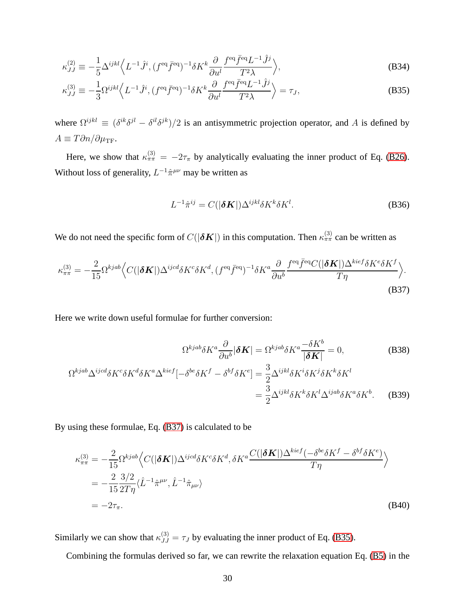$$
\kappa_{JJ}^{(2)} \equiv -\frac{1}{5} \Delta^{ijkl} \left\langle L^{-1} \hat{J}^i, (f^{\text{eq}} \bar{f}^{\text{eq}})^{-1} \delta K^k \frac{\partial}{\partial u^l} \frac{f^{\text{eq}} \bar{f}^{\text{eq}} L^{-1} \hat{J}^j}{T^2 \lambda} \right\rangle, \tag{B34}
$$

$$
\kappa_{JJ}^{(3)} \equiv -\frac{1}{3} \Omega^{ijkl} \left\langle L^{-1} \hat{J}^i, (f^{\text{eq}} \bar{f}^{\text{eq}})^{-1} \delta K^k \frac{\partial}{\partial u^l} \frac{f^{\text{eq}} \bar{f}^{\text{eq}} L^{-1} \hat{J}^j}{T^2 \lambda} \right\rangle = \tau_J,
$$
\n(B35)

where  $\Omega^{ijkl} \equiv (\delta^{ik}\delta^{jl} - \delta^{il}\delta^{jk})/2$  is an antisymmetric projection operator, and A is defined by  $A \equiv T \partial n / \partial \mu_{\rm TF}$ .

Here, we show that  $\kappa_{\pi\pi}^{(3)} = -2\tau_{\pi}$  by analytically evaluating the inner product of Eq. [\(B26\)](#page-28-0). Without loss of generality,  $L^{-1}\hat{\pi}^{\mu\nu}$  may be written as

<span id="page-29-1"></span>
$$
L^{-1}\hat{\pi}^{ij} = C(|\delta \mathbf{K}|) \Delta^{ijkl} \delta K^k \delta K^l. \tag{B36}
$$

We do not need the specific form of  $C(|\delta K|)$  in this computation. Then  $\kappa_{\pi\pi}^{(3)}$  can be written as

$$
\kappa_{\pi\pi}^{(3)} = -\frac{2}{15} \Omega^{kjab} \Big\langle C(|\delta \mathbf{K}|) \Delta^{ijcd} \delta K^c \delta K^d, (f^{eq}\bar{f}^{eq})^{-1} \delta K^a \frac{\partial}{\partial u^b} \frac{f^{eq}\bar{f}^{eq}C(|\delta \mathbf{K}|) \Delta^{kief} \delta K^e \delta K^f}{T\eta} \Big\rangle.
$$
\n(B37)

Here we write down useful formulae for further conversion:

<span id="page-29-0"></span>
$$
\Omega^{kjab}\delta K^a \frac{\partial}{\partial u^b} |\delta \mathbf{K}| = \Omega^{kjab}\delta K^a \frac{-\delta K^b}{|\delta \mathbf{K}|} = 0, \tag{B38}
$$

$$
\Omega^{kjab}\Delta^{ijcd}\delta K^c\delta K^d\delta K^a\Delta^{kief}[-\delta^{be}\delta K^f - \delta^{bf}\delta K^e] = \frac{3}{2}\Delta^{ijkl}\delta K^i\delta K^j\delta K^k\delta K^l
$$

$$
= \frac{3}{2}\Delta^{ijkl}\delta K^k\delta K^l\Delta^{ijab}\delta K^a\delta K^b. \tag{B39}
$$

By using these formulae, Eq. [\(B37\)](#page-29-0) is calculated to be

$$
\kappa_{\pi\pi}^{(3)} = -\frac{2}{15} \Omega^{kjab} \Big\langle C(|\delta \mathbf{K}|) \Delta^{ijcd} \delta K^c \delta K^d, \delta K^a \frac{C(|\delta \mathbf{K}|) \Delta^{kief}(-\delta^{be}\delta K^f - \delta^{bf}\delta K^e)}{T\eta} \Big\rangle
$$
  
= 
$$
-\frac{2}{15} \frac{3/2}{2T\eta} \langle \hat{L}^{-1} \hat{\pi}^{\mu\nu}, \hat{L}^{-1} \hat{\pi}_{\mu\nu} \rangle
$$
  
= 
$$
-2\tau_{\pi}.
$$
 (B40)

Similarly we can show that  $\kappa_{JJ}^{(3)} = \tau_J$  by evaluating the inner product of Eq. [\(B35\)](#page-29-1).

Combining the formulas derived so far, we can rewrite the relaxation equation Eq. [\(B5\)](#page-26-0) in the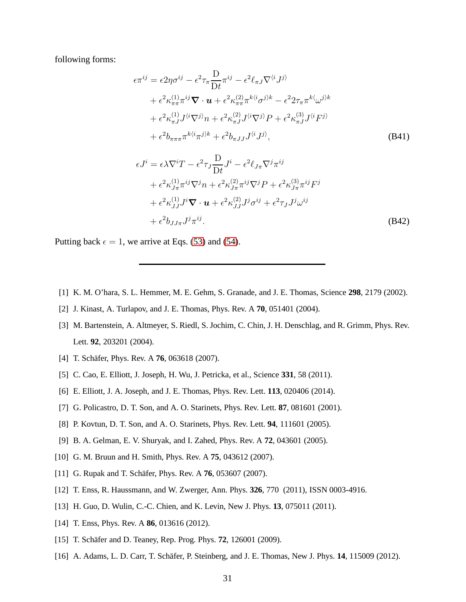following forms:

$$
\epsilon \pi^{ij} = \epsilon 2 \eta \sigma^{ij} - \epsilon^2 \tau_{\pi} \frac{D}{Dt} \pi^{ij} - \epsilon^2 \ell_{\pi J} \nabla^{\langle i} J^{j \rangle} \n+ \epsilon^2 \kappa_{\pi \pi}^{(1)} \pi^{ij} \nabla \cdot \boldsymbol{u} + \epsilon^2 \kappa_{\pi \pi}^{(2)} \pi^{k \langle i \sigma^{j} \rangle k} - \epsilon^2 2 \tau_{\pi} \pi^{k \langle \omega^{j} \rangle k} \n+ \epsilon^2 \kappa_{\pi J}^{(1)} J^{\langle i \nabla^{j} \rangle} n + \epsilon^2 \kappa_{\pi J}^{(2)} J^{\langle i \nabla^{j} \rangle} P + \epsilon^2 \kappa_{\pi J}^{(3)} J^{\langle i} F^{j \rangle} \n+ \epsilon^2 b_{\pi \pi \pi} \pi^{k \langle i \sigma^{j} \rangle k} + \epsilon^2 b_{\pi J J} J^{\langle i} J^{j \rangle},
$$
\n(B41)

$$
\epsilon J^{i} = \epsilon \lambda \nabla^{i} T - \epsilon^{2} \tau_{J} \frac{\mathcal{D}}{\mathcal{D}t} J^{i} - \epsilon^{2} \ell_{J\pi} \nabla^{j} \pi^{ij}
$$
  
+  $\epsilon^{2} \kappa_{J\pi}^{(1)} \pi^{ij} \nabla^{j} n + \epsilon^{2} \kappa_{J\pi}^{(2)} \pi^{ij} \nabla^{j} P + \epsilon^{2} \kappa_{J\pi}^{(3)} \pi^{ij} F^{j}$   
+  $\epsilon^{2} \kappa_{JJ}^{(1)} J^{i} \nabla \cdot \mathbf{u} + \epsilon^{2} \kappa_{JJ}^{(2)} J^{j} \sigma^{ij} + \epsilon^{2} \tau_{J} J^{j} \omega^{ij}$   
+  $\epsilon^{2} b_{JJ\pi} J^{j} \pi^{ij}$ . (B42)

Putting back  $\epsilon = 1$ , we arrive at Eqs. [\(53\)](#page-10-2) and [\(54\)](#page-11-4).

- <span id="page-30-0"></span>[1] K. M. O'hara, S. L. Hemmer, M. E. Gehm, S. Granade, and J. E. Thomas, Science **298**, 2179 (2002).
- [2] J. Kinast, A. Turlapov, and J. E. Thomas, Phys. Rev. A **70**, 051401 (2004).
- [3] M. Bartenstein, A. Altmeyer, S. Riedl, S. Jochim, C. Chin, J. H. Denschlag, and R. Grimm, Phys. Rev. Lett. **92**, 203201 (2004).
- [4] T. Schäfer, Phys. Rev. A **76**, 063618 (2007).
- [5] C. Cao, E. Elliott, J. Joseph, H. Wu, J. Petricka, et al., Science **331**, 58 (2011).
- <span id="page-30-1"></span>[6] E. Elliott, J. A. Joseph, and J. E. Thomas, Phys. Rev. Lett. **113**, 020406 (2014).
- <span id="page-30-2"></span>[7] G. Policastro, D. T. Son, and A. O. Starinets, Phys. Rev. Lett. **87**, 081601 (2001).
- <span id="page-30-3"></span>[8] P. Kovtun, D. T. Son, and A. O. Starinets, Phys. Rev. Lett. **94**, 111601 (2005).
- <span id="page-30-4"></span>[9] B. A. Gelman, E. V. Shuryak, and I. Zahed, Phys. Rev. A **72**, 043601 (2005).
- <span id="page-30-8"></span>[10] G. M. Bruun and H. Smith, Phys. Rev. A **75**, 043612 (2007).
- [11] G. Rupak and T. Schäfer, Phys. Rev. A **76**, 053607 (2007).
- [12] T. Enss, R. Haussmann, and W. Zwerger, Ann. Phys. **326**, 770 (2011), ISSN 0003-4916.
- [13] H. Guo, D. Wulin, C.-C. Chien, and K. Levin, New J. Phys. **13**, 075011 (2011).
- <span id="page-30-5"></span>[14] T. Enss, Phys. Rev. A **86**, 013616 (2012).
- <span id="page-30-6"></span>[15] T. Schäfer and D. Teaney, Rep. Prog. Phys. **72**, 126001 (2009).
- <span id="page-30-7"></span>[16] A. Adams, L. D. Carr, T. Schäfer, P. Steinberg, and J. E. Thomas, New J. Phys. **14**, 115009 (2012).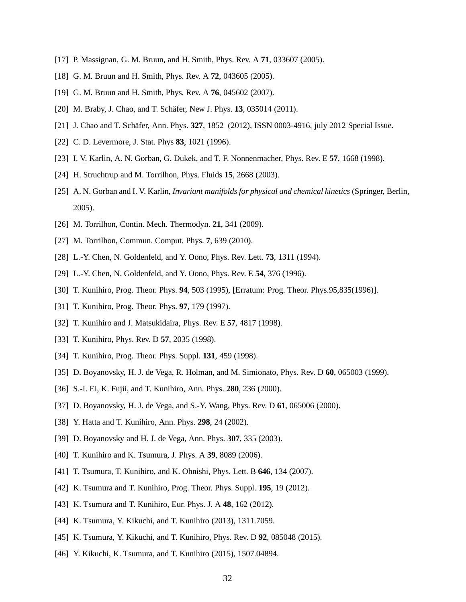- <span id="page-31-0"></span>[17] P. Massignan, G. M. Bruun, and H. Smith, Phys. Rev. A **71**, 033607 (2005).
- <span id="page-31-11"></span>[18] G. M. Bruun and H. Smith, Phys. Rev. A **72**, 043605 (2005).
- [19] G. M. Bruun and H. Smith, Phys. Rev. A **76**, 045602 (2007).
- <span id="page-31-1"></span>[20] M. Braby, J. Chao, and T. Schäfer, New J. Phys. **13**, 035014 (2011).
- <span id="page-31-2"></span>[21] J. Chao and T. Schäfer, Ann. Phys. 327, 1852 (2012), ISSN 0003-4916, july 2012 Special Issue.
- [22] C. D. Levermore, J. Stat. Phys **83**, 1021 (1996).
- [23] I. V. Karlin, A. N. Gorban, G. Dukek, and T. F. Nonnenmacher, Phys. Rev. E **57**, 1668 (1998).
- [24] H. Struchtrup and M. Torrilhon, Phys. Fluids **15**, 2668 (2003).
- [25] A. N. Gorban and I. V. Karlin, *Invariant manifolds for physical and chemical kinetics* (Springer, Berlin, 2005).
- <span id="page-31-3"></span>[26] M. Torrilhon, Contin. Mech. Thermodyn. **21**, 341 (2009).
- <span id="page-31-4"></span>[27] M. Torrilhon, Commun. Comput. Phys. **7**, 639 (2010).
- [28] L.-Y. Chen, N. Goldenfeld, and Y. Oono, Phys. Rev. Lett. **73**, 1311 (1994).
- [29] L.-Y. Chen, N. Goldenfeld, and Y. Oono, Phys. Rev. E **54**, 376 (1996).
- <span id="page-31-12"></span>[30] T. Kunihiro, Prog. Theor. Phys. **94**, 503 (1995), [Erratum: Prog. Theor. Phys.95,835(1996)].
- <span id="page-31-13"></span>[31] T. Kunihiro, Prog. Theor. Phys. **97**, 179 (1997).
- [32] T. Kunihiro and J. Matsukidaira, Phys. Rev. E **57**, 4817 (1998).
- [33] T. Kunihiro, Phys. Rev. D **57**, 2035 (1998).
- [34] T. Kunihiro, Prog. Theor. Phys. Suppl. **131**, 459 (1998).
- [35] D. Boyanovsky, H. J. de Vega, R. Holman, and M. Simionato, Phys. Rev. D **60**, 065003 (1999).
- <span id="page-31-14"></span>[36] S.-I. Ei, K. Fujii, and T. Kunihiro, Ann. Phys. **280**, 236 (2000).
- [37] D. Boyanovsky, H. J. de Vega, and S.-Y. Wang, Phys. Rev. D **61**, 065006 (2000).
- <span id="page-31-6"></span>[38] Y. Hatta and T. Kunihiro, Ann. Phys. **298**, 24 (2002).
- [39] D. Boyanovsky and H. J. de Vega, Ann. Phys. **307**, 335 (2003).
- <span id="page-31-5"></span>[40] T. Kunihiro and K. Tsumura, J. Phys. A **39**, 8089 (2006).
- <span id="page-31-7"></span>[41] T. Tsumura, T. Kunihiro, and K. Ohnishi, Phys. Lett. B **646**, 134 (2007).
- [42] K. Tsumura and T. Kunihiro, Prog. Theor. Phys. Suppl. **195**, 19 (2012).
- [43] K. Tsumura and T. Kunihiro, Eur. Phys. J. A **48**, 162 (2012).
- <span id="page-31-10"></span>[44] K. Tsumura, Y. Kikuchi, and T. Kunihiro (2013), 1311.7059.
- <span id="page-31-8"></span>[45] K. Tsumura, Y. Kikuchi, and T. Kunihiro, Phys. Rev. D **92**, 085048 (2015).
- <span id="page-31-9"></span>[46] Y. Kikuchi, K. Tsumura, and T. Kunihiro (2015), 1507.04894.